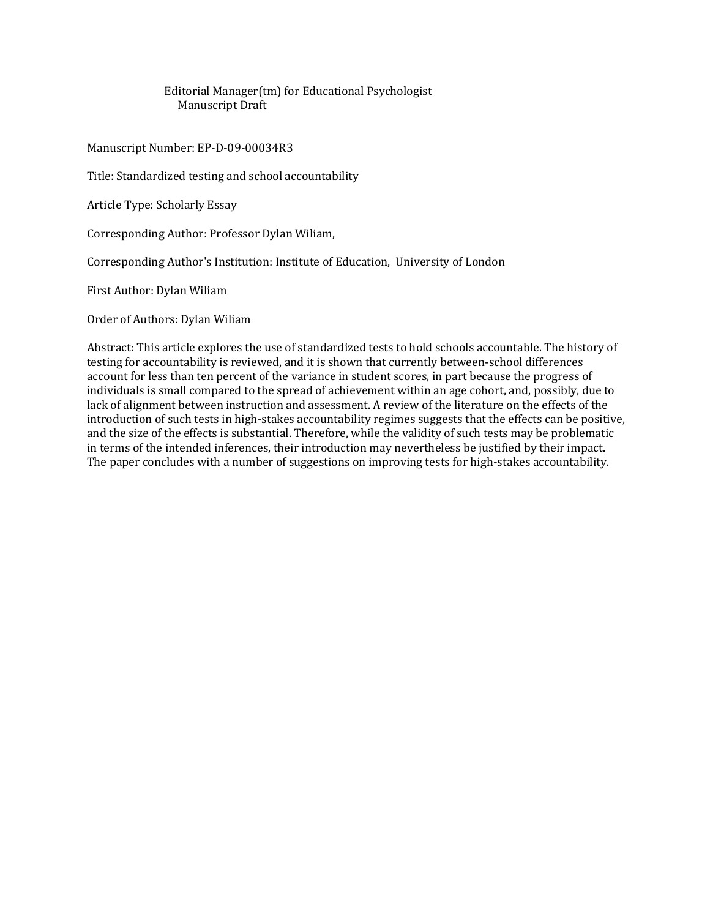Editorial Manager(tm) for Educational Psychologist Manuscript Draft

Manuscript Number: EP-D-09-00034R3

Title: Standardized testing and school accountability

Article Type: Scholarly Essay

Corresponding Author: Professor Dylan Wiliam,

Corresponding Author's Institution: Institute of Education, University of London

First Author: Dylan Wiliam

Order of Authors: Dylan Wiliam

Abstract: This article explores the use of standardized tests to hold schools accountable. The history of testing for accountability is reviewed, and it is shown that currently between-school differences account for less than ten percent of the variance in student scores, in part because the progress of individuals is small compared to the spread of achievement within an age cohort, and, possibly, due to lack of alignment between instruction and assessment. A review of the literature on the effects of the introduction of such tests in high-stakes accountability regimes suggests that the effects can be positive, and the size of the effects is substantial. Therefore, while the validity of such tests may be problematic in terms of the intended inferences, their introduction may nevertheless be justified by their impact. The paper concludes with a number of suggestions on improving tests for high-stakes accountability.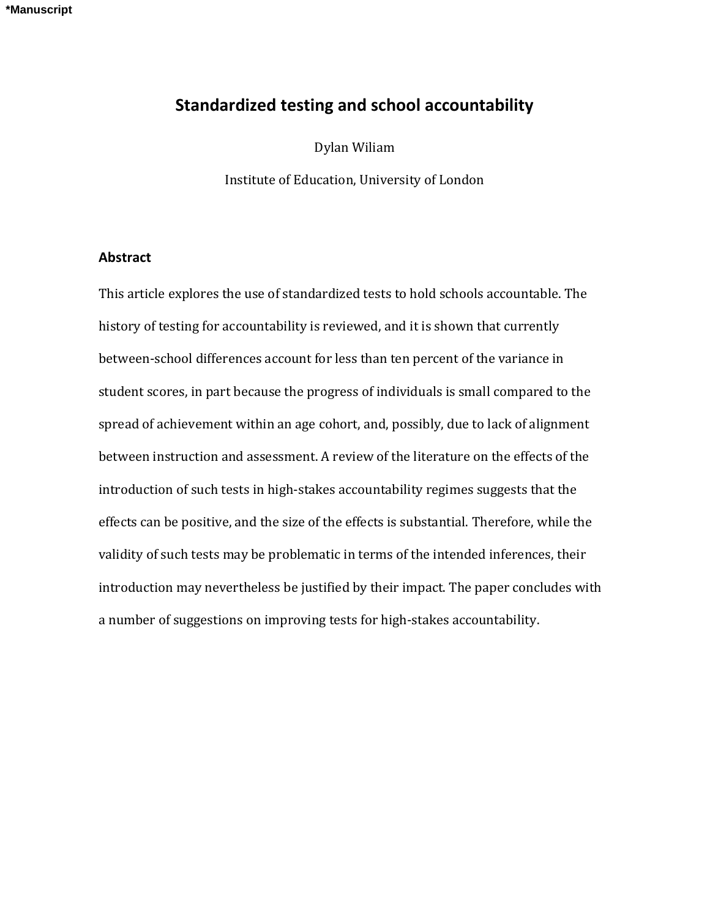# **Standardized testing and school accountability**

Dylan Wiliam

Institute of Education, University of London

## **Abstract**

This article explores the use of standardized tests to hold schools accountable. The history of testing for accountability is reviewed, and it is shown that currently between-school differences account for less than ten percent of the variance in student scores, in part because the progress of individuals is small compared to the spread of achievement within an age cohort, and, possibly, due to lack of alignment between instruction and assessment. A review of the literature on the effects of the introduction of such tests in high-stakes accountability regimes suggests that the effects can be positive, and the size of the effects is substantial. Therefore, while the validity of such tests may be problematic in terms of the intended inferences, their introduction may nevertheless be justified by their impact. The paper concludes with a number of suggestions on improving tests for high-stakes accountability.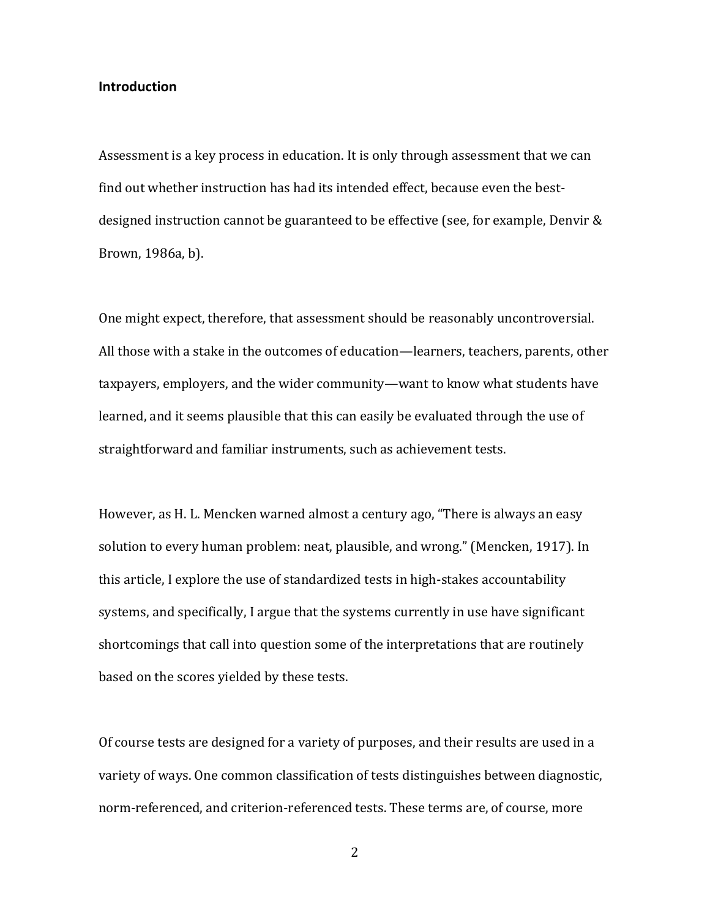#### **Introduction**

Assessment is a key process in education. It is only through assessment that we can find out whether instruction has had its intended effect, because even the bestdesigned instruction cannot be guaranteed to be effective (see, for example, Denvir & Brown, 1986a, b).

One might expect, therefore, that assessment should be reasonably uncontroversial. All those with a stake in the outcomes of education—learners, teachers, parents, other taxpayers, employers, and the wider community—want to know what students have learned, and it seems plausible that this can easily be evaluated through the use of straightforward and familiar instruments, such as achievement tests.

However, as H. L. Mencken warned almost a century ago, "There is always an easy solution to every human problem: neat, plausible, and wrong." (Mencken, 1917). In this article, I explore the use of standardized tests in high-stakes accountability systems, and specifically, I argue that the systems currently in use have significant shortcomings that call into question some of the interpretations that are routinely based on the scores yielded by these tests.

Of course tests are designed for a variety of purposes, and their results are used in a variety of ways. One common classification of tests distinguishes between diagnostic, norm-referenced, and criterion-referenced tests. These terms are, of course, more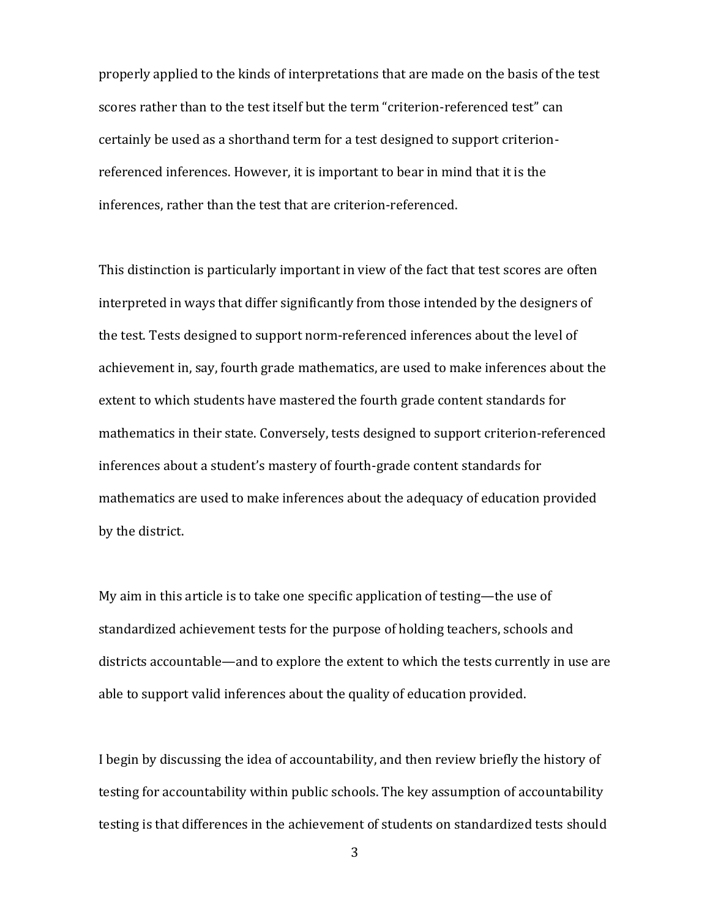properly applied to the kinds of interpretations that are made on the basis of the test scores rather than to the test itself but the term "criterion-referenced test" can certainly be used as a shorthand term for a test designed to support criterionreferenced inferences. However, it is important to bear in mind that it is the inferences, rather than the test that are criterion-referenced.

This distinction is particularly important in view of the fact that test scores are often interpreted in ways that differ significantly from those intended by the designers of the test. Tests designed to support norm-referenced inferences about the level of achievement in, say, fourth grade mathematics, are used to make inferences about the extent to which students have mastered the fourth grade content standards for mathematics in their state. Conversely, tests designed to support criterion-referenced inferences about a student's mastery of fourth-grade content standards for mathematics are used to make inferences about the adequacy of education provided by the district.

My aim in this article is to take one specific application of testing—the use of standardized achievement tests for the purpose of holding teachers, schools and districts accountable—and to explore the extent to which the tests currently in use are able to support valid inferences about the quality of education provided.

I begin by discussing the idea of accountability, and then review briefly the history of testing for accountability within public schools. The key assumption of accountability testing is that differences in the achievement of students on standardized tests should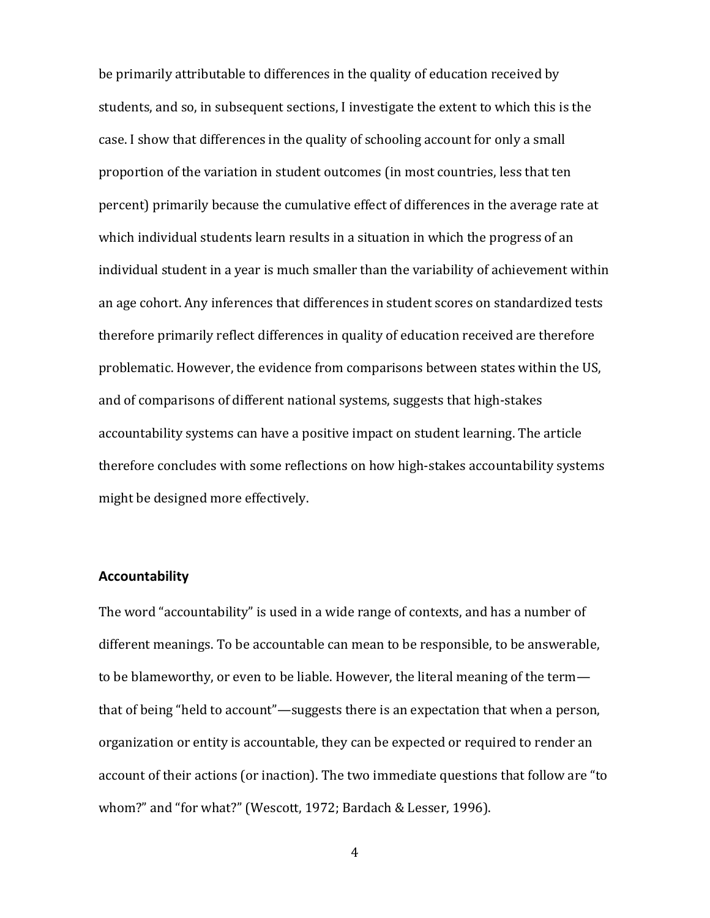be primarily attributable to differences in the quality of education received by students, and so, in subsequent sections, I investigate the extent to which this is the case. I show that differences in the quality of schooling account for only a small proportion of the variation in student outcomes (in most countries, less that ten percent) primarily because the cumulative effect of differences in the average rate at which individual students learn results in a situation in which the progress of an individual student in a year is much smaller than the variability of achievement within an age cohort. Any inferences that differences in student scores on standardized tests therefore primarily reflect differences in quality of education received are therefore problematic. However, the evidence from comparisons between states within the US, and of comparisons of different national systems, suggests that high-stakes accountability systems can have a positive impact on student learning. The article therefore concludes with some reflections on how high-stakes accountability systems might be designed more effectively.

## **Accountability**

The word "accountability" is used in a wide range of contexts, and has a number of different meanings. To be accountable can mean to be responsible, to be answerable, to be blameworthy, or even to be liable. However, the literal meaning of the term that of being "held to account"—suggests there is an expectation that when a person, organization or entity is accountable, they can be expected or required to render an account of their actions (or inaction). The two immediate questions that follow are "to whom?" and "for what?" (Wescott, 1972; Bardach & Lesser, 1996).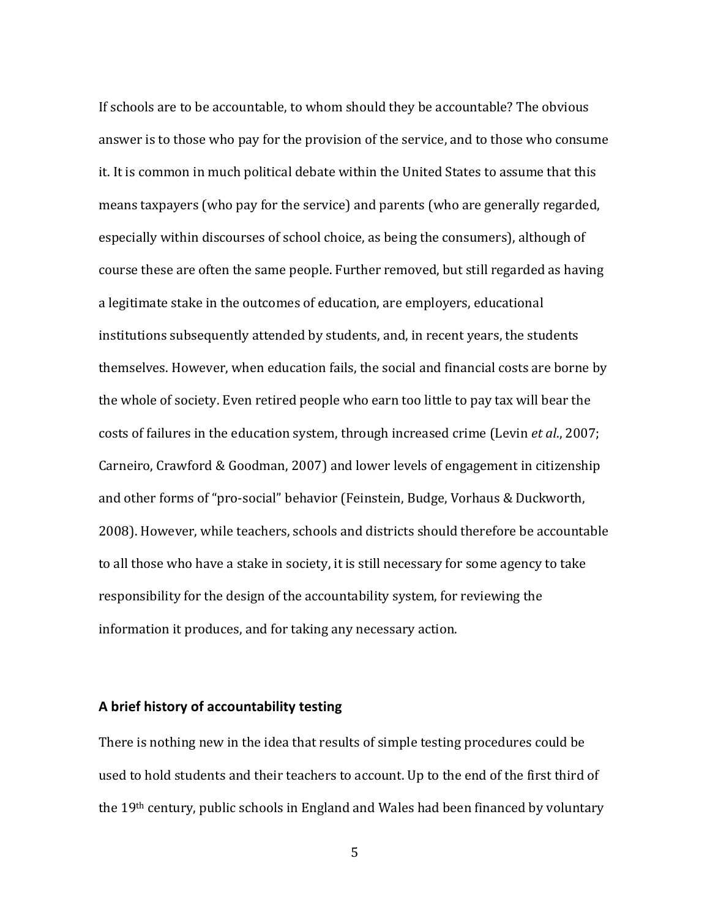If schools are to be accountable, to whom should they be accountable? The obvious answer is to those who pay for the provision of the service, and to those who consume it. It is common in much political debate within the United States to assume that this means taxpayers (who pay for the service) and parents (who are generally regarded, especially within discourses of school choice, as being the consumers), although of course these are often the same people. Further removed, but still regarded as having a legitimate stake in the outcomes of education, are employers, educational institutions subsequently attended by students, and, in recent years, the students themselves. However, when education fails, the social and financial costs are borne by the whole of society. Even retired people who earn too little to pay tax will bear the costs of failures in the education system, through increased crime (Levin *et al*., 2007; Carneiro, Crawford & Goodman, 2007) and lower levels of engagement in citizenship and other forms of "pro-social" behavior (Feinstein, Budge, Vorhaus & Duckworth, 2008). However, while teachers, schools and districts should therefore be accountable to all those who have a stake in society, it is still necessary for some agency to take responsibility for the design of the accountability system, for reviewing the information it produces, and for taking any necessary action.

#### **A brief history of accountability testing**

There is nothing new in the idea that results of simple testing procedures could be used to hold students and their teachers to account. Up to the end of the first third of the 19th century, public schools in England and Wales had been financed by voluntary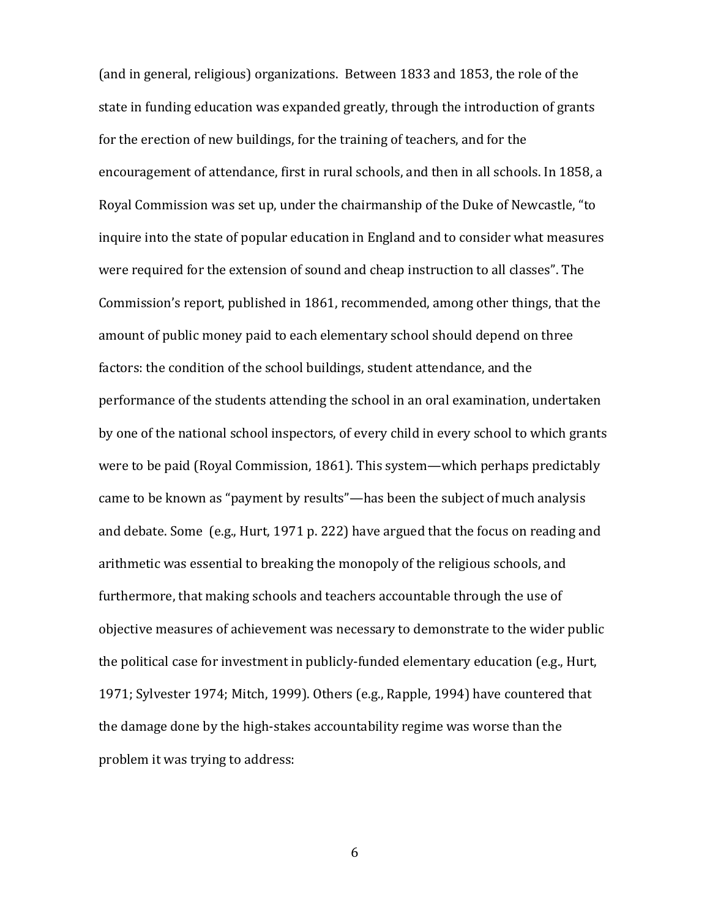(and in general, religious) organizations. Between 1833 and 1853, the role of the state in funding education was expanded greatly, through the introduction of grants for the erection of new buildings, for the training of teachers, and for the encouragement of attendance, first in rural schools, and then in all schools. In 1858, a Royal Commission was set up, under the chairmanship of the Duke of Newcastle, "to inquire into the state of popular education in England and to consider what measures were required for the extension of sound and cheap instruction to all classes". The Commission's report, published in 1861, recommended, among other things, that the amount of public money paid to each elementary school should depend on three factors: the condition of the school buildings, student attendance, and the performance of the students attending the school in an oral examination, undertaken by one of the national school inspectors, of every child in every school to which grants were to be paid (Royal Commission, 1861). This system—which perhaps predictably came to be known as "payment by results"—has been the subject of much analysis and debate. Some (e.g., Hurt, 1971 p. 222) have argued that the focus on reading and arithmetic was essential to breaking the monopoly of the religious schools, and furthermore, that making schools and teachers accountable through the use of objective measures of achievement was necessary to demonstrate to the wider public the political case for investment in publicly-funded elementary education (e.g., Hurt, 1971; Sylvester 1974; Mitch, 1999). Others (e.g., Rapple, 1994) have countered that the damage done by the high-stakes accountability regime was worse than the problem it was trying to address: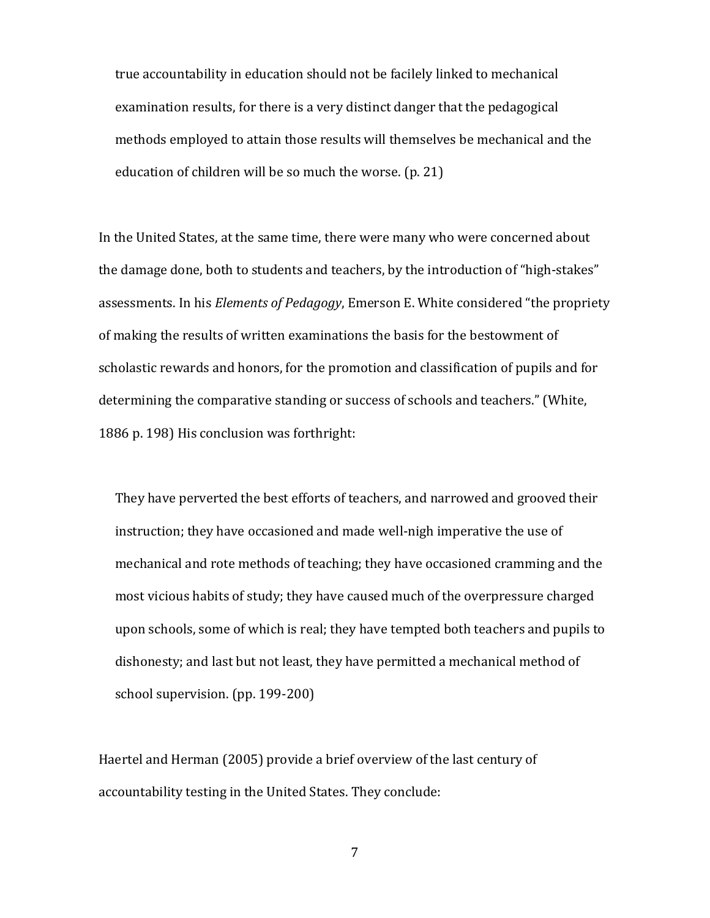true accountability in education should not be facilely linked to mechanical examination results, for there is a very distinct danger that the pedagogical methods employed to attain those results will themselves be mechanical and the education of children will be so much the worse. (p. 21)

In the United States, at the same time, there were many who were concerned about the damage done, both to students and teachers, by the introduction of "high-stakes" assessments. In his *Elements of Pedagogy*, Emerson E. White considered "the propriety of making the results of written examinations the basis for the bestowment of scholastic rewards and honors, for the promotion and classification of pupils and for determining the comparative standing or success of schools and teachers." (White, 1886 p. 198) His conclusion was forthright:

They have perverted the best efforts of teachers, and narrowed and grooved their instruction; they have occasioned and made well-nigh imperative the use of mechanical and rote methods of teaching; they have occasioned cramming and the most vicious habits of study; they have caused much of the overpressure charged upon schools, some of which is real; they have tempted both teachers and pupils to dishonesty; and last but not least, they have permitted a mechanical method of school supervision. (pp. 199-200)

Haertel and Herman (2005) provide a brief overview of the last century of accountability testing in the United States. They conclude: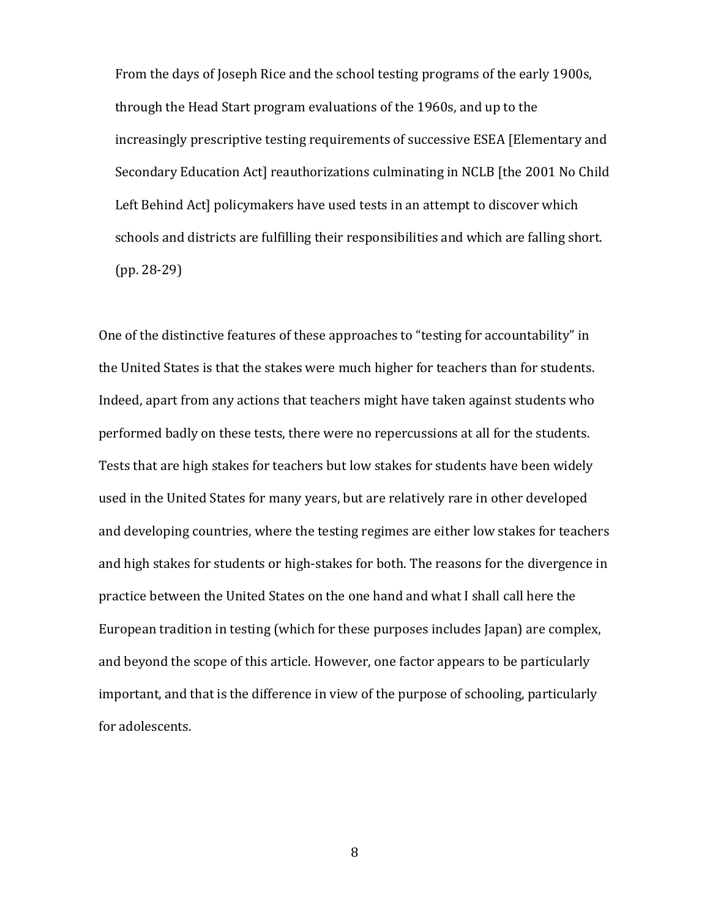From the days of Joseph Rice and the school testing programs of the early 1900s, through the Head Start program evaluations of the 1960s, and up to the increasingly prescriptive testing requirements of successive ESEA [Elementary and Secondary Education Act] reauthorizations culminating in NCLB [the 2001 No Child Left Behind Actl policymakers have used tests in an attempt to discover which schools and districts are fulfilling their responsibilities and which are falling short. (pp. 28-29)

One of the distinctive features of these approaches to "testing for accountability" in the United States is that the stakes were much higher for teachers than for students. Indeed, apart from any actions that teachers might have taken against students who performed badly on these tests, there were no repercussions at all for the students. Tests that are high stakes for teachers but low stakes for students have been widely used in the United States for many years, but are relatively rare in other developed and developing countries, where the testing regimes are either low stakes for teachers and high stakes for students or high-stakes for both. The reasons for the divergence in practice between the United States on the one hand and what I shall call here the European tradition in testing (which for these purposes includes Japan) are complex, and beyond the scope of this article. However, one factor appears to be particularly important, and that is the difference in view of the purpose of schooling, particularly for adolescents.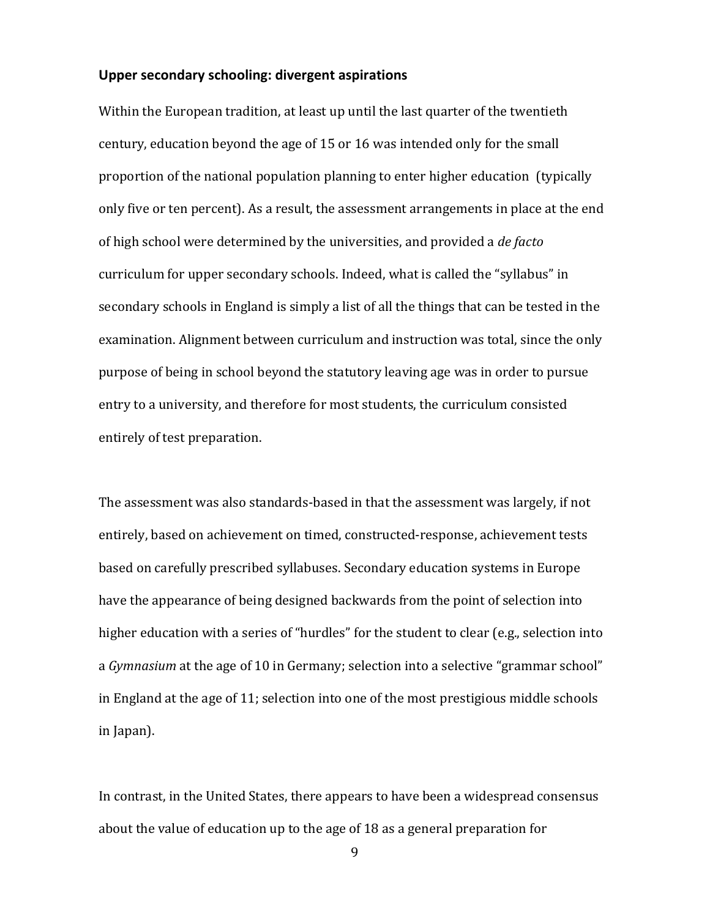## **Upper secondary schooling: divergent aspirations**

Within the European tradition, at least up until the last quarter of the twentieth century, education beyond the age of 15 or 16 was intended only for the small proportion of the national population planning to enter higher education (typically only five or ten percent). As a result, the assessment arrangements in place at the end of high school were determined by the universities, and provided a *de facto* curriculum for upper secondary schools. Indeed, what is called the "syllabus" in secondary schools in England is simply a list of all the things that can be tested in the examination. Alignment between curriculum and instruction was total, since the only purpose of being in school beyond the statutory leaving age was in order to pursue entry to a university, and therefore for most students, the curriculum consisted entirely of test preparation.

The assessment was also standards-based in that the assessment was largely, if not entirely, based on achievement on timed, constructed-response, achievement tests based on carefully prescribed syllabuses. Secondary education systems in Europe have the appearance of being designed backwards from the point of selection into higher education with a series of "hurdles" for the student to clear (e.g., selection into a *Gymnasium* at the age of 10 in Germany; selection into a selective "grammar school" in England at the age of 11; selection into one of the most prestigious middle schools in Japan).

In contrast, in the United States, there appears to have been a widespread consensus about the value of education up to the age of 18 as a general preparation for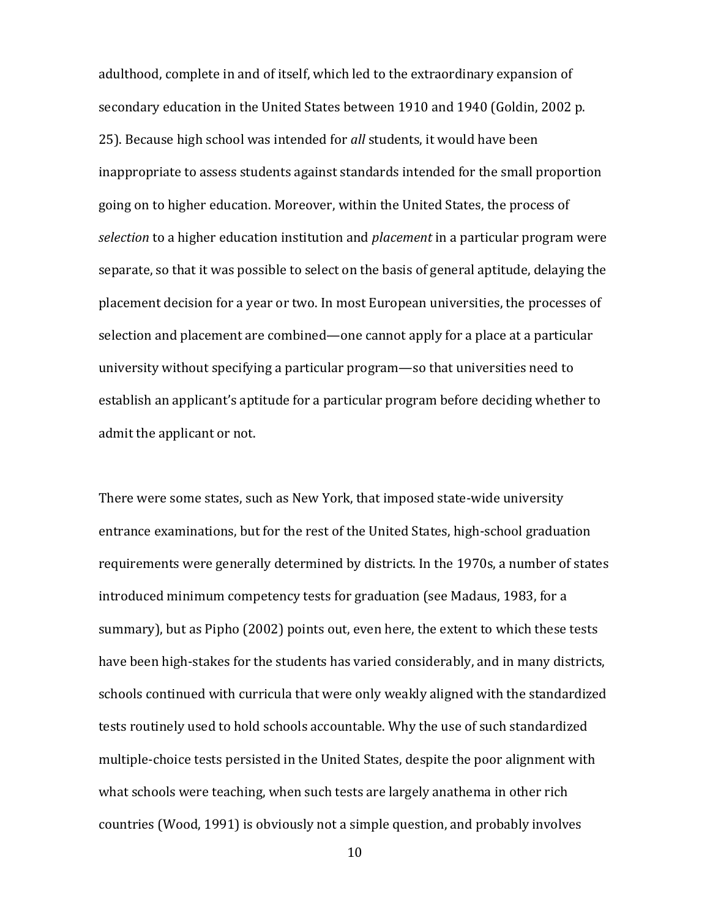adulthood, complete in and of itself, which led to the extraordinary expansion of secondary education in the United States between 1910 and 1940 (Goldin, 2002 p. 25). Because high school was intended for *all* students, it would have been inappropriate to assess students against standards intended for the small proportion going on to higher education. Moreover, within the United States, the process of *selection* to a higher education institution and *placement* in a particular program were separate, so that it was possible to select on the basis of general aptitude, delaying the placement decision for a year or two. In most European universities, the processes of selection and placement are combined—one cannot apply for a place at a particular university without specifying a particular program—so that universities need to establish an applicant's aptitude for a particular program before deciding whether to admit the applicant or not.

There were some states, such as New York, that imposed state-wide university entrance examinations, but for the rest of the United States, high-school graduation requirements were generally determined by districts. In the 1970s, a number of states introduced minimum competency tests for graduation (see Madaus, 1983, for a summary), but as Pipho (2002) points out, even here, the extent to which these tests have been high-stakes for the students has varied considerably, and in many districts, schools continued with curricula that were only weakly aligned with the standardized tests routinely used to hold schools accountable. Why the use of such standardized multiple-choice tests persisted in the United States, despite the poor alignment with what schools were teaching, when such tests are largely anathema in other rich countries (Wood, 1991) is obviously not a simple question, and probably involves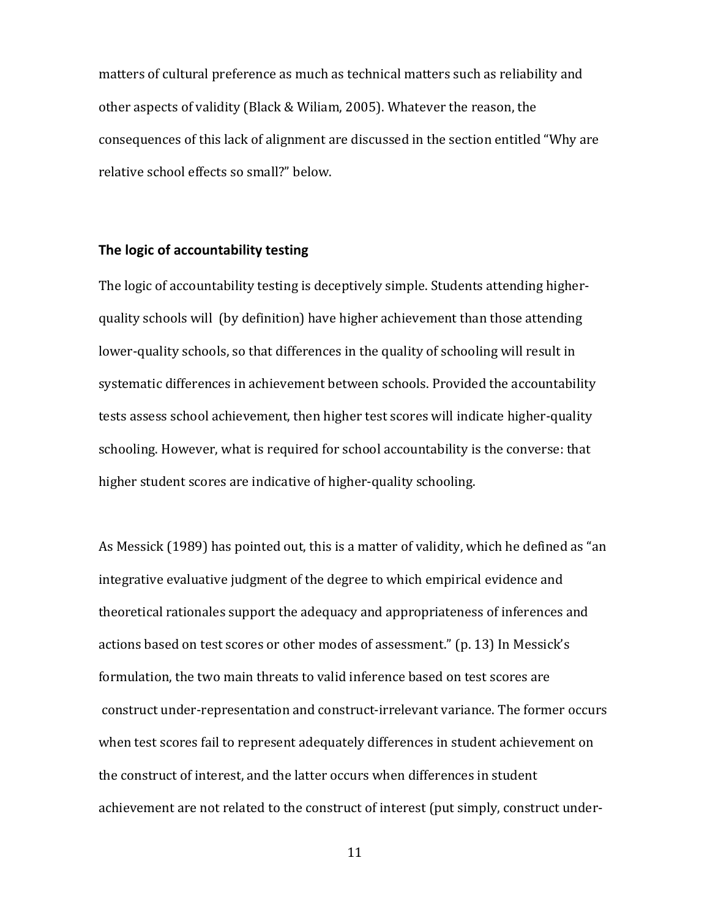matters of cultural preference as much as technical matters such as reliability and other aspects of validity (Black & Wiliam, 2005). Whatever the reason, the consequences of this lack of alignment are discussed in the section entitled "Why are relative school effects so small?" below.

## **The logic of accountability testing**

The logic of accountability testing is deceptively simple. Students attending higherquality schools will (by definition) have higher achievement than those attending lower-quality schools, so that differences in the quality of schooling will result in systematic differences in achievement between schools. Provided the accountability tests assess school achievement, then higher test scores will indicate higher-quality schooling. However, what is required for school accountability is the converse: that higher student scores are indicative of higher-quality schooling.

As Messick (1989) has pointed out, this is a matter of validity, which he defined as "an integrative evaluative judgment of the degree to which empirical evidence and theoretical rationales support the adequacy and appropriateness of inferences and actions based on test scores or other modes of assessment." (p. 13) In Messick's formulation, the two main threats to valid inference based on test scores are construct under-representation and construct-irrelevant variance. The former occurs when test scores fail to represent adequately differences in student achievement on the construct of interest, and the latter occurs when differences in student achievement are not related to the construct of interest (put simply, construct under-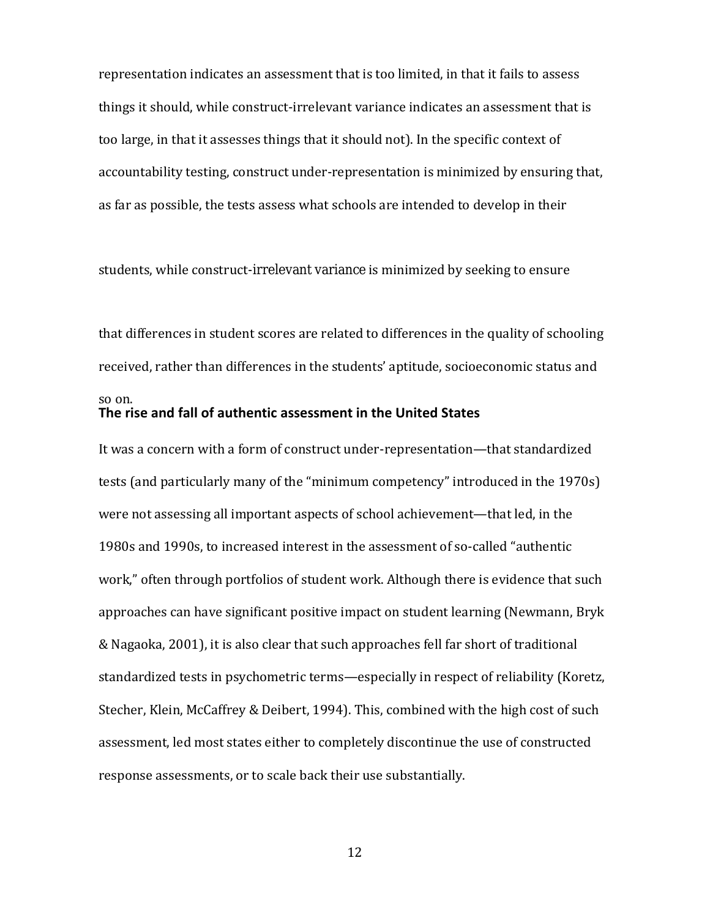representation indicates an assessment that is too limited, in that it fails to assess things it should, while construct-irrelevant variance indicates an assessment that is too large, in that it assesses things that it should not). In the specific context of accountability testing, construct under-representation is minimized by ensuring that, as far as possible, the tests assess what schools are intended to develop in their

students, while construct-irrelevant variance is minimized by seeking to ensure

that differences in student scores are related to differences in the quality of schooling received, rather than differences in the students' aptitude, socioeconomic status and

## **The rise and fall of authentic assessment in the United States**

so on.

It was a concern with a form of construct under-representation—that standardized tests (and particularly many of the "minimum competency" introduced in the 1970s) were not assessing all important aspects of school achievement—that led, in the 1980s and 1990s, to increased interest in the assessment of so-called "authentic work," often through portfolios of student work. Although there is evidence that such approaches can have significant positive impact on student learning (Newmann, Bryk & Nagaoka, 2001), it is also clear that such approaches fell far short of traditional standardized tests in psychometric terms—especially in respect of reliability (Koretz, Stecher, Klein, McCaffrey & Deibert, 1994). This, combined with the high cost of such assessment, led most states either to completely discontinue the use of constructed response assessments, or to scale back their use substantially.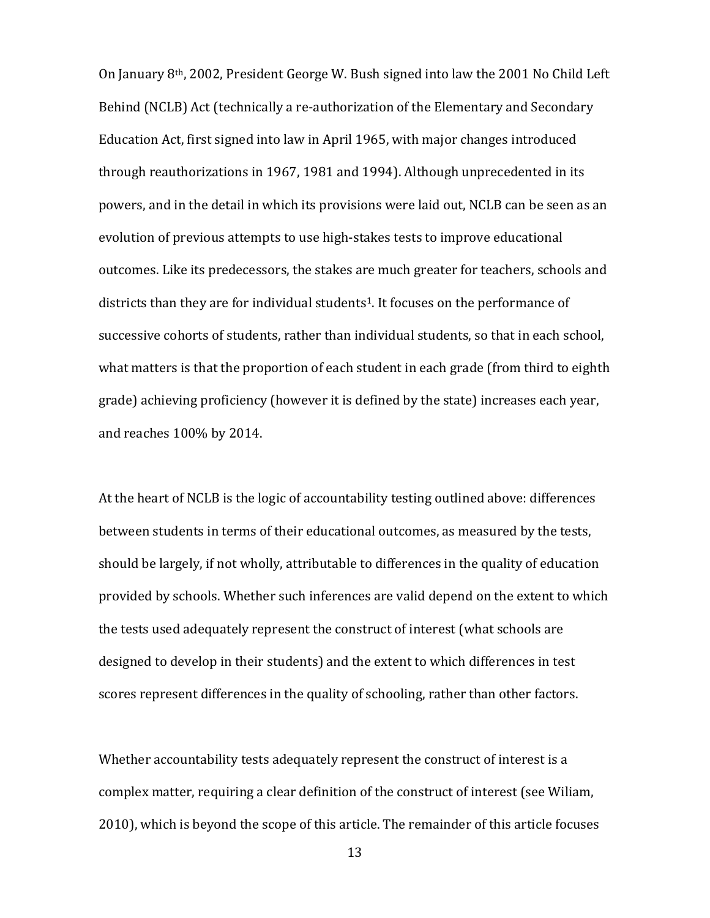On January 8th, 2002, President George W. Bush signed into law the 2001 No Child Left Behind (NCLB) Act (technically a re-authorization of the Elementary and Secondary Education Act, first signed into law in April 1965, with major changes introduced through reauthorizations in 1967, 1981 and 1994). Although unprecedented in its powers, and in the detail in which its provisions were laid out, NCLB can be seen as an evolution of previous attempts to use high-stakes tests to improve educational outcomes. Like its predecessors, the stakes are much greater for teachers, schools and districts than they are for individual students1. It focuses on the performance of successive cohorts of students, rather than individual students, so that in each school, what matters is that the proportion of each student in each grade (from third to eighth grade) achieving proficiency (however it is defined by the state) increases each year, and reaches 100% by 2014.

At the heart of NCLB is the logic of accountability testing outlined above: differences between students in terms of their educational outcomes, as measured by the tests, should be largely, if not wholly, attributable to differences in the quality of education provided by schools. Whether such inferences are valid depend on the extent to which the tests used adequately represent the construct of interest (what schools are designed to develop in their students) and the extent to which differences in test scores represent differences in the quality of schooling, rather than other factors.

Whether accountability tests adequately represent the construct of interest is a complex matter, requiring a clear definition of the construct of interest (see Wiliam, 2010), which is beyond the scope of this article. The remainder of this article focuses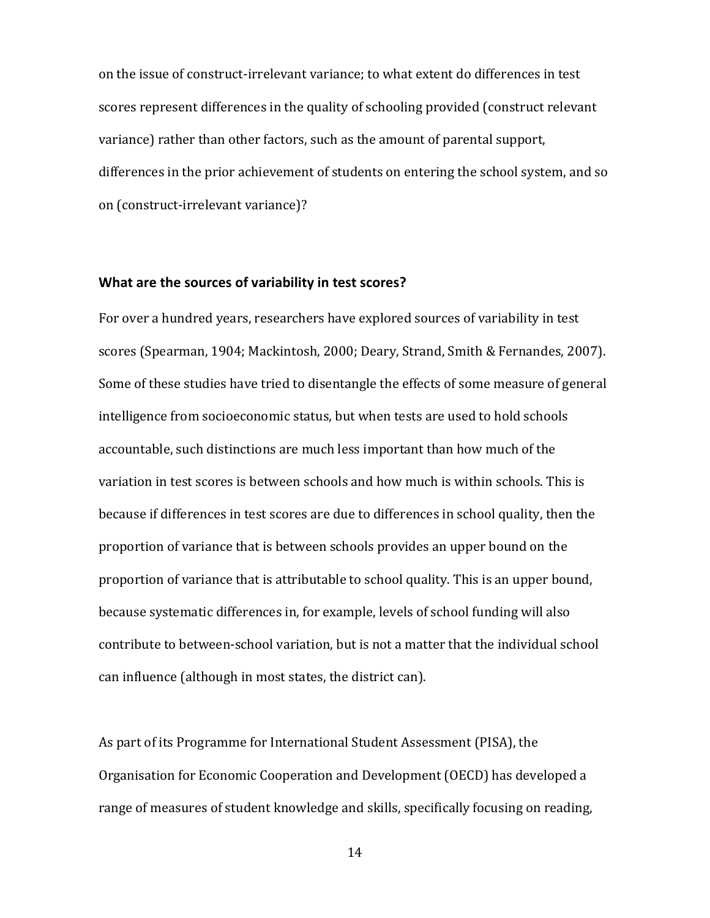on the issue of construct-irrelevant variance; to what extent do differences in test scores represent differences in the quality of schooling provided (construct relevant variance) rather than other factors, such as the amount of parental support, differences in the prior achievement of students on entering the school system, and so on (construct-irrelevant variance)?

## **What are the sources of variability in test scores?**

For over a hundred years, researchers have explored sources of variability in test scores (Spearman, 1904; Mackintosh, 2000; Deary, Strand, Smith & Fernandes, 2007). Some of these studies have tried to disentangle the effects of some measure of general intelligence from socioeconomic status, but when tests are used to hold schools accountable, such distinctions are much less important than how much of the variation in test scores is between schools and how much is within schools. This is because if differences in test scores are due to differences in school quality, then the proportion of variance that is between schools provides an upper bound on the proportion of variance that is attributable to school quality. This is an upper bound, because systematic differences in, for example, levels of school funding will also contribute to between-school variation, but is not a matter that the individual school can influence (although in most states, the district can).

As part of its Programme for International Student Assessment (PISA), the Organisation for Economic Cooperation and Development (OECD) has developed a range of measures of student knowledge and skills, specifically focusing on reading,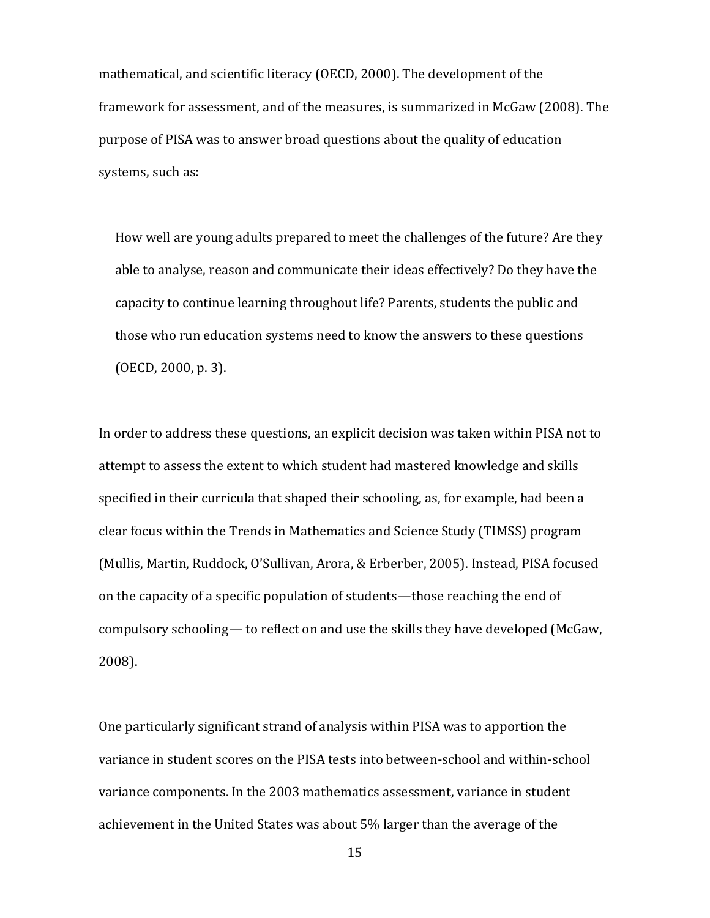mathematical, and scientific literacy (OECD, 2000). The development of the framework for assessment, and of the measures, is summarized in McGaw (2008). The purpose of PISA was to answer broad questions about the quality of education systems, such as:

How well are young adults prepared to meet the challenges of the future? Are they able to analyse, reason and communicate their ideas effectively? Do they have the capacity to continue learning throughout life? Parents, students the public and those who run education systems need to know the answers to these questions (OECD, 2000, p. 3).

In order to address these questions, an explicit decision was taken within PISA not to attempt to assess the extent to which student had mastered knowledge and skills specified in their curricula that shaped their schooling, as, for example, had been a clear focus within the Trends in Mathematics and Science Study (TIMSS) program (Mullis, Martin, Ruddock, O'Sullivan, Arora, & Erberber, 2005). Instead, PISA focused on the capacity of a specific population of students—those reaching the end of compulsory schooling— to reflect on and use the skills they have developed (McGaw, 2008).

One particularly significant strand of analysis within PISA was to apportion the variance in student scores on the PISA tests into between-school and within-school variance components. In the 2003 mathematics assessment, variance in student achievement in the United States was about 5% larger than the average of the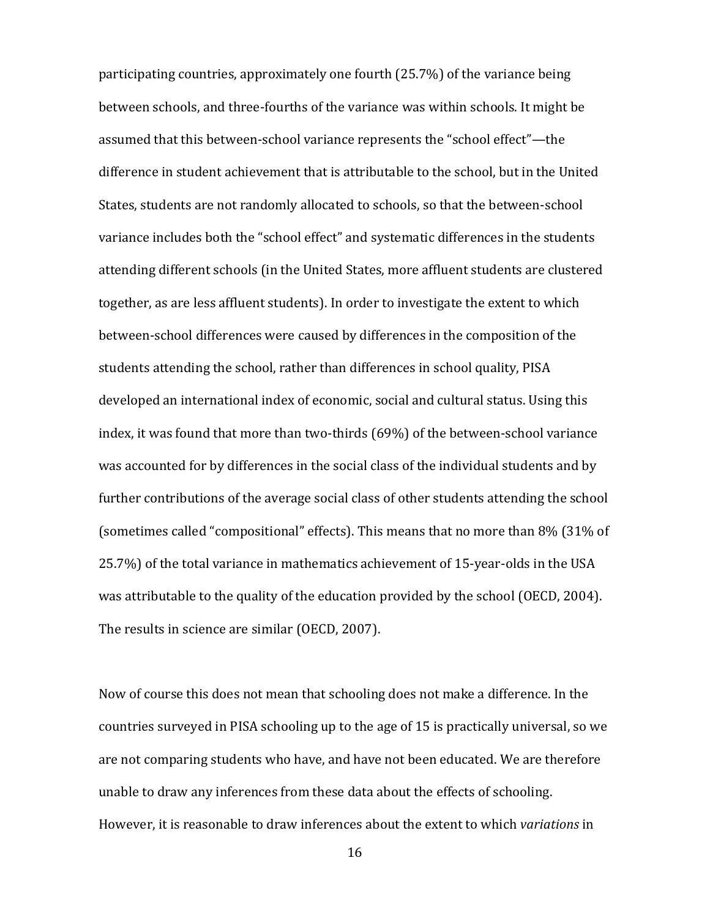participating countries, approximately one fourth (25.7%) of the variance being between schools, and three-fourths of the variance was within schools. It might be assumed that this between-school variance represents the "school effect"—the difference in student achievement that is attributable to the school, but in the United States, students are not randomly allocated to schools, so that the between-school variance includes both the "school effect" and systematic differences in the students attending different schools (in the United States, more affluent students are clustered together, as are less affluent students). In order to investigate the extent to which between-school differences were caused by differences in the composition of the students attending the school, rather than differences in school quality, PISA developed an international index of economic, social and cultural status. Using this index, it was found that more than two-thirds (69%) of the between-school variance was accounted for by differences in the social class of the individual students and by further contributions of the average social class of other students attending the school (sometimes called "compositional" effects). This means that no more than 8% (31% of 25.7%) of the total variance in mathematics achievement of 15-year-olds in the USA was attributable to the quality of the education provided by the school (OECD, 2004). The results in science are similar (OECD, 2007).

Now of course this does not mean that schooling does not make a difference. In the countries surveyed in PISA schooling up to the age of 15 is practically universal, so we are not comparing students who have, and have not been educated. We are therefore unable to draw any inferences from these data about the effects of schooling. However, it is reasonable to draw inferences about the extent to which *variations* in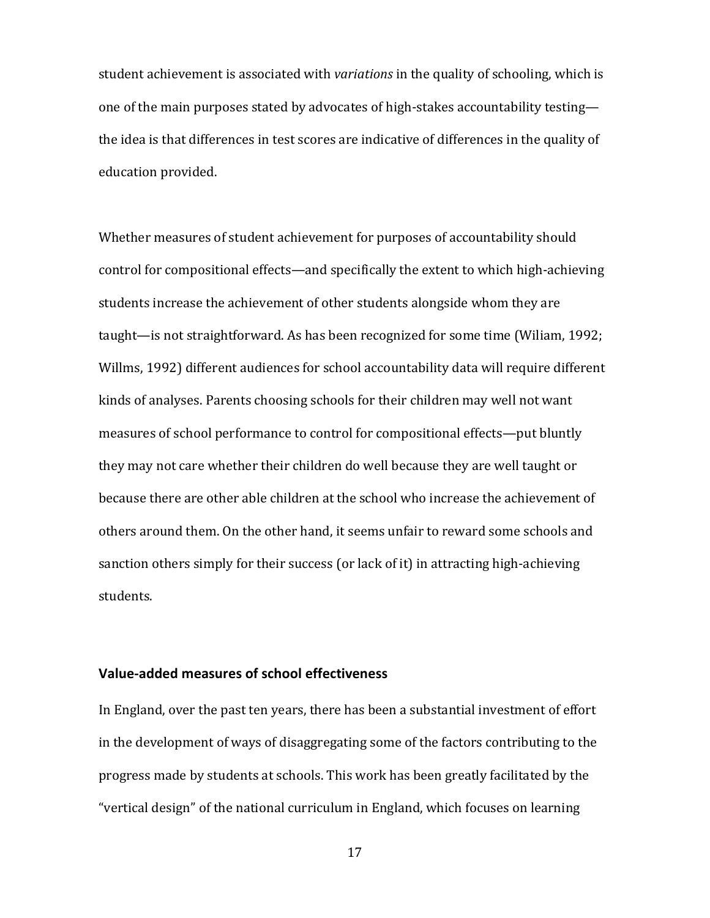student achievement is associated with *variations* in the quality of schooling, which is one of the main purposes stated by advocates of high-stakes accountability testing the idea is that differences in test scores are indicative of differences in the quality of education provided.

Whether measures of student achievement for purposes of accountability should control for compositional effects—and specifically the extent to which high-achieving students increase the achievement of other students alongside whom they are taught—is not straightforward. As has been recognized for some time (Wiliam, 1992; Willms, 1992) different audiences for school accountability data will require different kinds of analyses. Parents choosing schools for their children may well not want measures of school performance to control for compositional effects—put bluntly they may not care whether their children do well because they are well taught or because there are other able children at the school who increase the achievement of others around them. On the other hand, it seems unfair to reward some schools and sanction others simply for their success (or lack of it) in attracting high-achieving students.

## **Value-added measures of school effectiveness**

In England, over the past ten years, there has been a substantial investment of effort in the development of ways of disaggregating some of the factors contributing to the progress made by students at schools. This work has been greatly facilitated by the "vertical design" of the national curriculum in England, which focuses on learning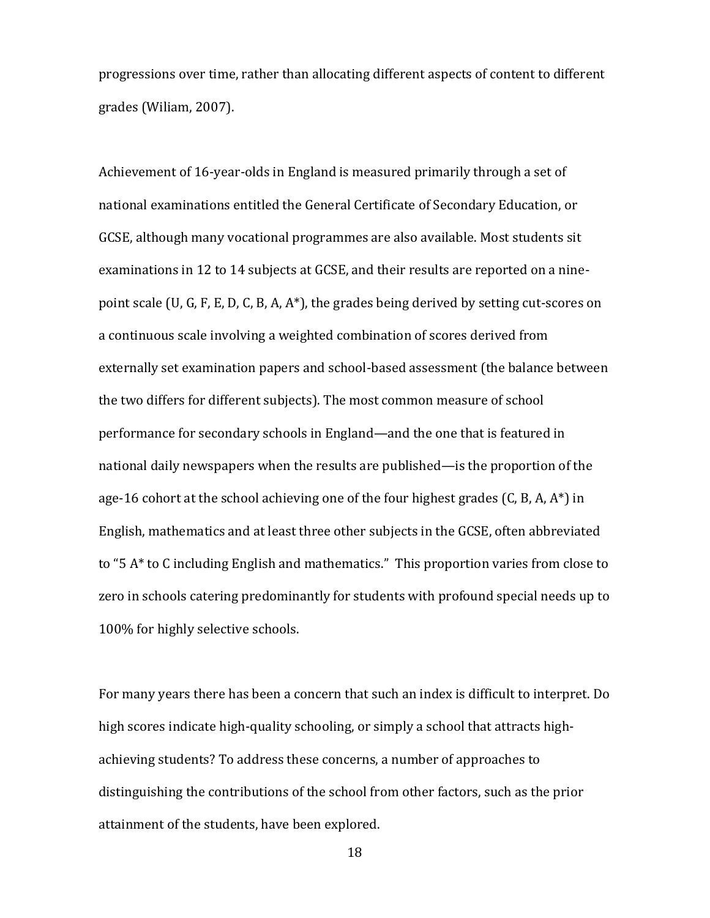progressions over time, rather than allocating different aspects of content to different grades (Wiliam, 2007).

Achievement of 16-year-olds in England is measured primarily through a set of national examinations entitled the General Certificate of Secondary Education, or GCSE, although many vocational programmes are also available. Most students sit examinations in 12 to 14 subjects at GCSE, and their results are reported on a ninepoint scale (U, G, F, E, D, C, B, A, A\*), the grades being derived by setting cut-scores on a continuous scale involving a weighted combination of scores derived from externally set examination papers and school-based assessment (the balance between the two differs for different subjects). The most common measure of school performance for secondary schools in England—and the one that is featured in national daily newspapers when the results are published—is the proportion of the age-16 cohort at the school achieving one of the four highest grades (C, B, A, A\*) in English, mathematics and at least three other subjects in the GCSE, often abbreviated to "5 A\* to C including English and mathematics." This proportion varies from close to zero in schools catering predominantly for students with profound special needs up to 100% for highly selective schools.

For many years there has been a concern that such an index is difficult to interpret. Do high scores indicate high-quality schooling, or simply a school that attracts highachieving students? To address these concerns, a number of approaches to distinguishing the contributions of the school from other factors, such as the prior attainment of the students, have been explored.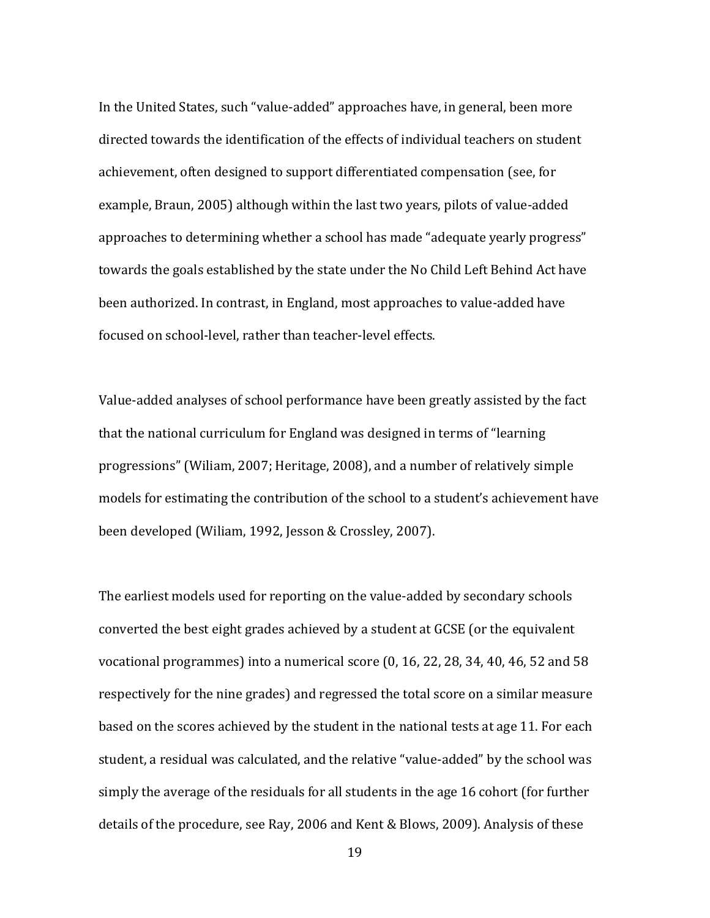In the United States, such "value-added" approaches have, in general, been more directed towards the identification of the effects of individual teachers on student achievement, often designed to support differentiated compensation (see, for example, Braun, 2005) although within the last two years, pilots of value-added approaches to determining whether a school has made "adequate yearly progress" towards the goals established by the state under the No Child Left Behind Act have been authorized. In contrast, in England, most approaches to value-added have focused on school-level, rather than teacher-level effects.

Value-added analyses of school performance have been greatly assisted by the fact that the national curriculum for England was designed in terms of "learning progressions" (Wiliam, 2007; Heritage, 2008), and a number of relatively simple models for estimating the contribution of the school to a student's achievement have been developed (Wiliam, 1992, Jesson & Crossley, 2007).

The earliest models used for reporting on the value-added by secondary schools converted the best eight grades achieved by a student at GCSE (or the equivalent vocational programmes) into a numerical score (0, 16, 22, 28, 34, 40, 46, 52 and 58 respectively for the nine grades) and regressed the total score on a similar measure based on the scores achieved by the student in the national tests at age 11. For each student, a residual was calculated, and the relative "value-added" by the school was simply the average of the residuals for all students in the age 16 cohort (for further details of the procedure, see Ray, 2006 and Kent & Blows, 2009). Analysis of these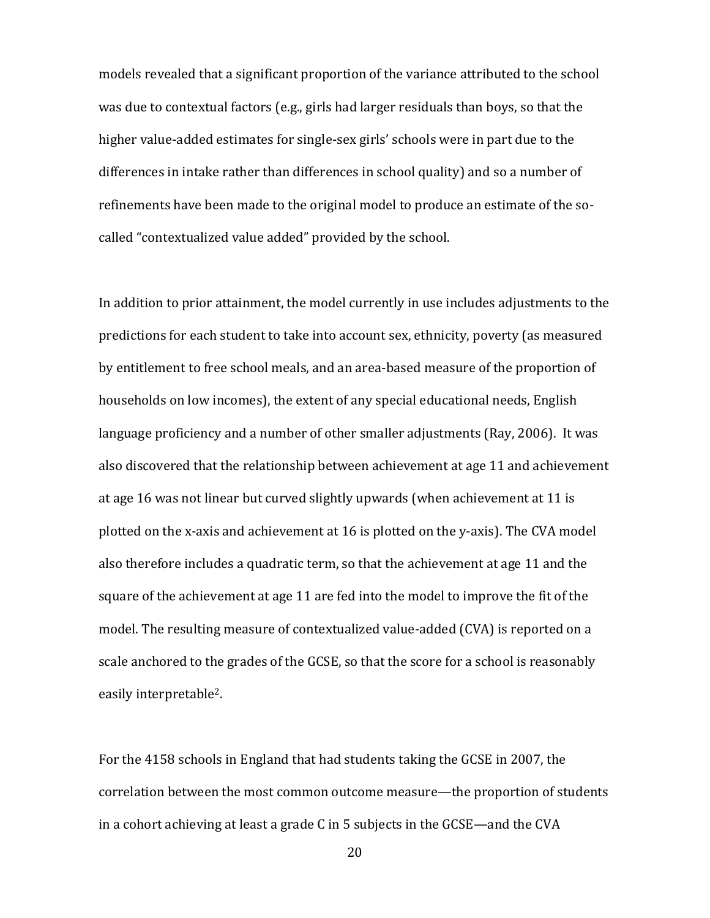models revealed that a significant proportion of the variance attributed to the school was due to contextual factors (e.g., girls had larger residuals than boys, so that the higher value-added estimates for single-sex girls' schools were in part due to the differences in intake rather than differences in school quality) and so a number of refinements have been made to the original model to produce an estimate of the socalled "contextualized value added" provided by the school.

In addition to prior attainment, the model currently in use includes adjustments to the predictions for each student to take into account sex, ethnicity, poverty (as measured by entitlement to free school meals, and an area-based measure of the proportion of households on low incomes), the extent of any special educational needs, English language proficiency and a number of other smaller adjustments (Ray, 2006). It was also discovered that the relationship between achievement at age 11 and achievement at age 16 was not linear but curved slightly upwards (when achievement at 11 is plotted on the x-axis and achievement at 16 is plotted on the y-axis). The CVA model also therefore includes a quadratic term, so that the achievement at age 11 and the square of the achievement at age 11 are fed into the model to improve the fit of the model. The resulting measure of contextualized value-added (CVA) is reported on a scale anchored to the grades of the GCSE, so that the score for a school is reasonably easily interpretable2.

For the 4158 schools in England that had students taking the GCSE in 2007, the correlation between the most common outcome measure—the proportion of students in a cohort achieving at least a grade C in 5 subjects in the GCSE—and the CVA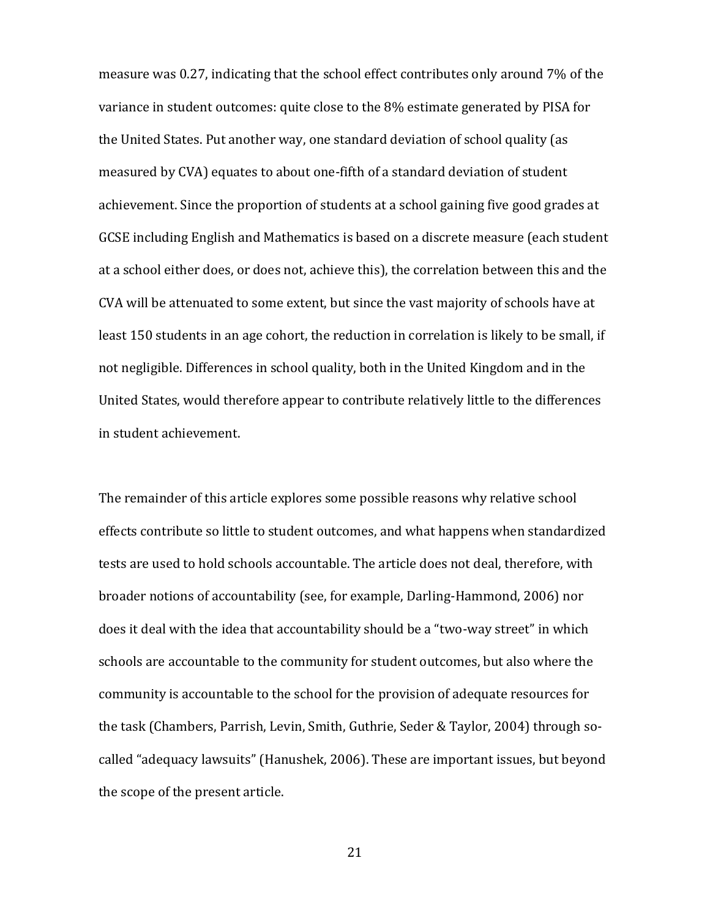measure was 0.27, indicating that the school effect contributes only around 7% of the variance in student outcomes: quite close to the 8% estimate generated by PISA for the United States. Put another way, one standard deviation of school quality (as measured by CVA) equates to about one-fifth of a standard deviation of student achievement. Since the proportion of students at a school gaining five good grades at GCSE including English and Mathematics is based on a discrete measure (each student at a school either does, or does not, achieve this), the correlation between this and the CVA will be attenuated to some extent, but since the vast majority of schools have at least 150 students in an age cohort, the reduction in correlation is likely to be small, if not negligible. Differences in school quality, both in the United Kingdom and in the United States, would therefore appear to contribute relatively little to the differences in student achievement.

The remainder of this article explores some possible reasons why relative school effects contribute so little to student outcomes, and what happens when standardized tests are used to hold schools accountable. The article does not deal, therefore, with broader notions of accountability (see, for example, Darling-Hammond, 2006) nor does it deal with the idea that accountability should be a "two-way street" in which schools are accountable to the community for student outcomes, but also where the community is accountable to the school for the provision of adequate resources for the task (Chambers, Parrish, Levin, Smith, Guthrie, Seder & Taylor, 2004) through socalled "adequacy lawsuits" (Hanushek, 2006). These are important issues, but beyond the scope of the present article.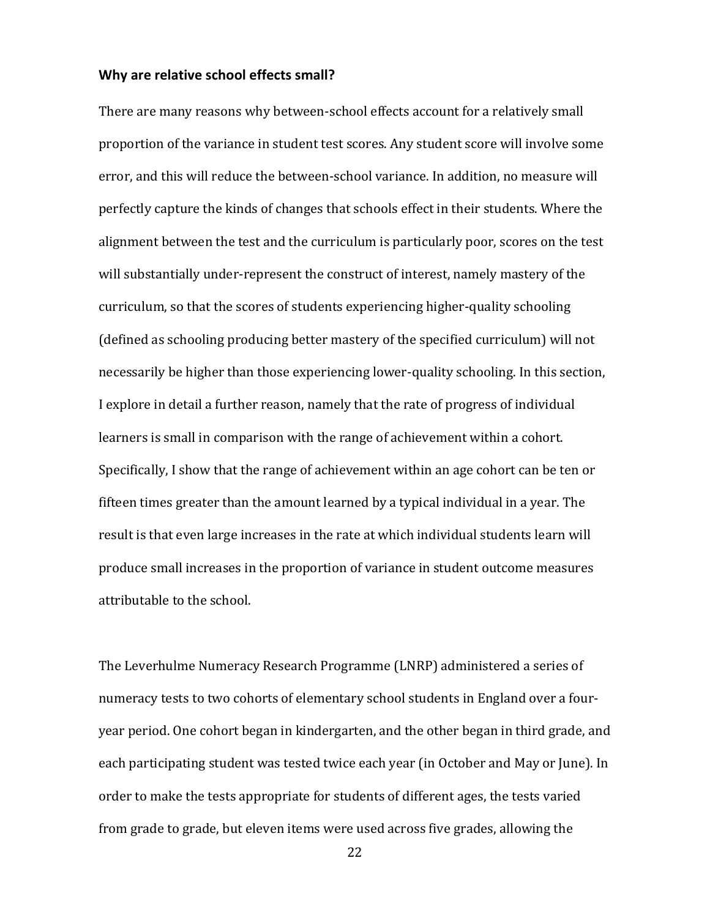#### **Why are relative school effects small?**

There are many reasons why between-school effects account for a relatively small proportion of the variance in student test scores. Any student score will involve some error, and this will reduce the between-school variance. In addition, no measure will perfectly capture the kinds of changes that schools effect in their students. Where the alignment between the test and the curriculum is particularly poor, scores on the test will substantially under-represent the construct of interest, namely mastery of the curriculum, so that the scores of students experiencing higher-quality schooling (defined as schooling producing better mastery of the specified curriculum) will not necessarily be higher than those experiencing lower-quality schooling. In this section, I explore in detail a further reason, namely that the rate of progress of individual learners is small in comparison with the range of achievement within a cohort. Specifically, I show that the range of achievement within an age cohort can be ten or fifteen times greater than the amount learned by a typical individual in a year. The result is that even large increases in the rate at which individual students learn will produce small increases in the proportion of variance in student outcome measures attributable to the school.

The Leverhulme Numeracy Research Programme (LNRP) administered a series of numeracy tests to two cohorts of elementary school students in England over a fouryear period. One cohort began in kindergarten, and the other began in third grade, and each participating student was tested twice each year (in October and May or June). In order to make the tests appropriate for students of different ages, the tests varied from grade to grade, but eleven items were used across five grades, allowing the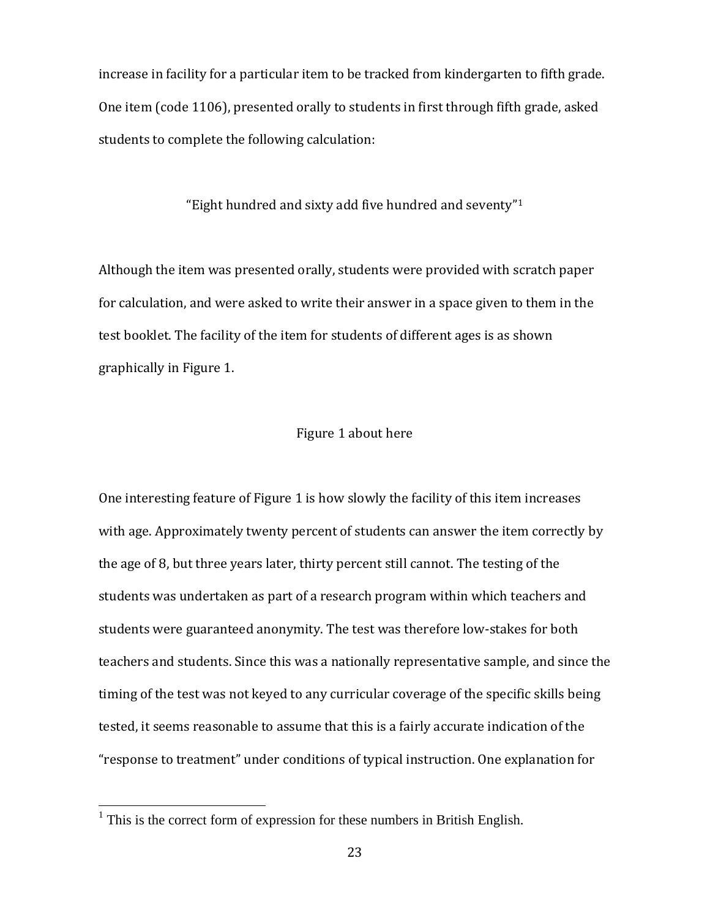increase in facility for a particular item to be tracked from kindergarten to fifth grade. One item (code 1106), presented orally to students in first through fifth grade, asked students to complete the following calculation:

"Eight hundred and sixty add five hundred and seventy"<sup>1</sup>

Although the item was presented orally, students were provided with scratch paper for calculation, and were asked to write their answer in a space given to them in the test booklet. The facility of the item for students of different ages is as shown graphically in Figure 1.

## Figure 1 about here

One interesting feature of Figure 1 is how slowly the facility of this item increases with age. Approximately twenty percent of students can answer the item correctly by the age of 8, but three years later, thirty percent still cannot. The testing of the students was undertaken as part of a research program within which teachers and students were guaranteed anonymity. The test was therefore low-stakes for both teachers and students. Since this was a nationally representative sample, and since the timing of the test was not keyed to any curricular coverage of the specific skills being tested, it seems reasonable to assume that this is a fairly accurate indication of the "response to treatment" under conditions of typical instruction. One explanation for

 $\overline{a}$ 

<sup>&</sup>lt;sup>1</sup> This is the correct form of expression for these numbers in British English.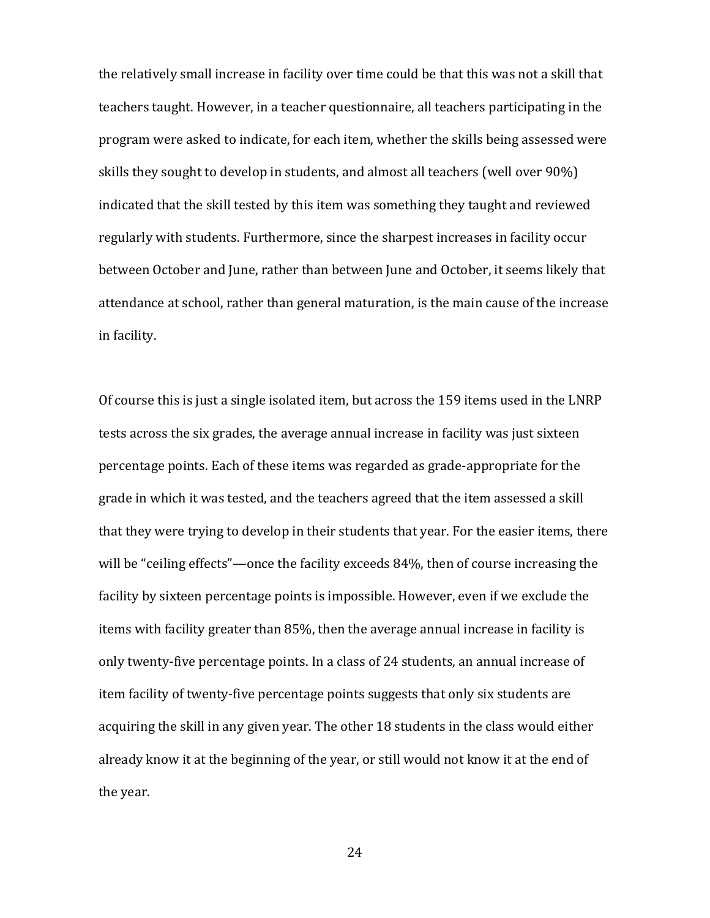the relatively small increase in facility over time could be that this was not a skill that teachers taught. However, in a teacher questionnaire, all teachers participating in the program were asked to indicate, for each item, whether the skills being assessed were skills they sought to develop in students, and almost all teachers (well over 90%) indicated that the skill tested by this item was something they taught and reviewed regularly with students. Furthermore, since the sharpest increases in facility occur between October and June, rather than between June and October, it seems likely that attendance at school, rather than general maturation, is the main cause of the increase in facility.

Of course this is just a single isolated item, but across the 159 items used in the LNRP tests across the six grades, the average annual increase in facility was just sixteen percentage points. Each of these items was regarded as grade-appropriate for the grade in which it was tested, and the teachers agreed that the item assessed a skill that they were trying to develop in their students that year. For the easier items, there will be "ceiling effects"—once the facility exceeds 84%, then of course increasing the facility by sixteen percentage points is impossible. However, even if we exclude the items with facility greater than 85%, then the average annual increase in facility is only twenty-five percentage points. In a class of 24 students, an annual increase of item facility of twenty-five percentage points suggests that only six students are acquiring the skill in any given year. The other 18 students in the class would either already know it at the beginning of the year, or still would not know it at the end of the year.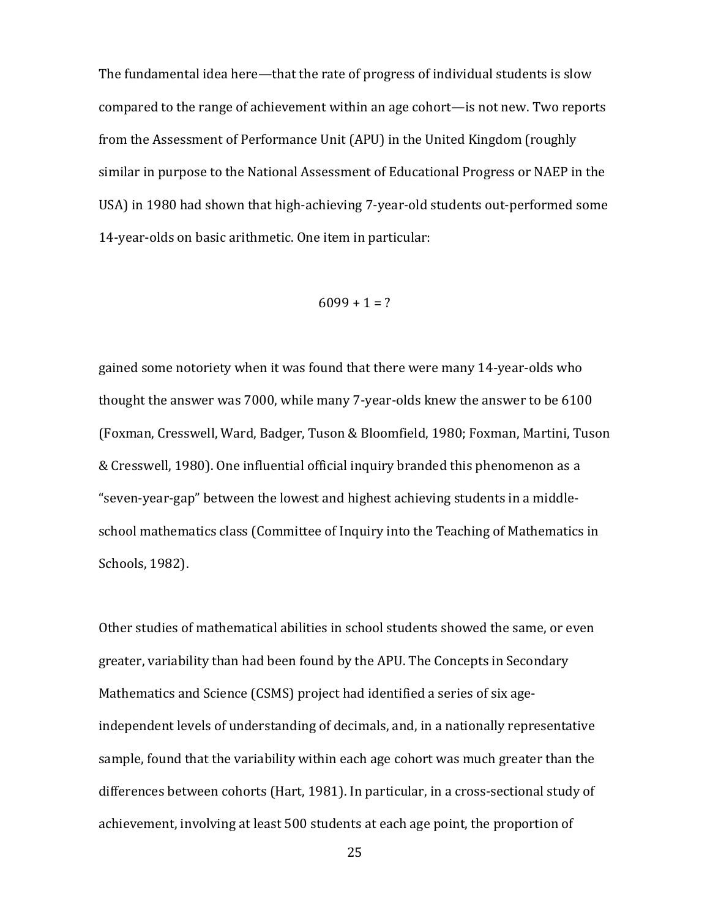The fundamental idea here—that the rate of progress of individual students is slow compared to the range of achievement within an age cohort—is not new. Two reports from the Assessment of Performance Unit (APU) in the United Kingdom (roughly similar in purpose to the National Assessment of Educational Progress or NAEP in the USA) in 1980 had shown that high-achieving 7-year-old students out-performed some 14-year-olds on basic arithmetic. One item in particular:

$$
6099 + 1 = ?
$$

gained some notoriety when it was found that there were many 14-year-olds who thought the answer was 7000, while many 7-year-olds knew the answer to be 6100 (Foxman, Cresswell, Ward, Badger, Tuson & Bloomfield, 1980; Foxman, Martini, Tuson & Cresswell, 1980). One influential official inquiry branded this phenomenon as a "seven-year-gap" between the lowest and highest achieving students in a middleschool mathematics class (Committee of Inquiry into the Teaching of Mathematics in Schools, 1982).

Other studies of mathematical abilities in school students showed the same, or even greater, variability than had been found by the APU. The Concepts in Secondary Mathematics and Science (CSMS) project had identified a series of six ageindependent levels of understanding of decimals, and, in a nationally representative sample, found that the variability within each age cohort was much greater than the differences between cohorts (Hart, 1981). In particular, in a cross-sectional study of achievement, involving at least 500 students at each age point, the proportion of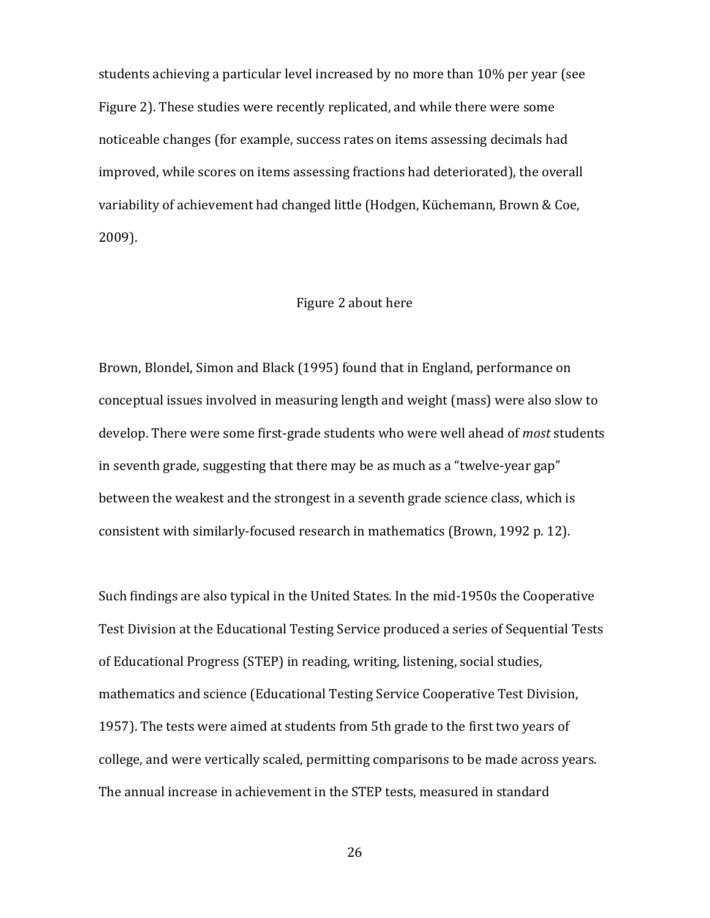students achieving a particular level increased by no more than 10% per year (see Figure 2). These studies were recently replicated, and while there were some noticeable changes (for example, success rates on items assessing decimals had improved, while scores on items assessing fractions had deteriorated), the overall variability of achievement had changed little (Hodgen, Küchemann, Brown & Coe, 2009).

#### Figure 2 about here

Brown, Blondel, Simon and Black (1995) found that in England, performance on conceptual issues involved in measuring length and weight (mass) were also slow to develop. There were some first-grade students who were well ahead of *most* students in seventh grade, suggesting that there may be as much as a "twelve-year gap" between the weakest and the strongest in a seventh grade science class, which is consistent with similarly-focused research in mathematics (Brown, 1992 p. 12).

Such findings are also typical in the United States. In the mid-1950s the Cooperative Test Division at the Educational Testing Service produced a series of Sequential Tests of Educational Progress (STEP) in reading, writing, listening, social studies, mathematics and science (Educational Testing Service Cooperative Test Division, 1957). The tests were aimed at students from 5th grade to the first two years of college, and were vertically scaled, permitting comparisons to be made across years. The annual increase in achievement in the STEP tests, measured in standard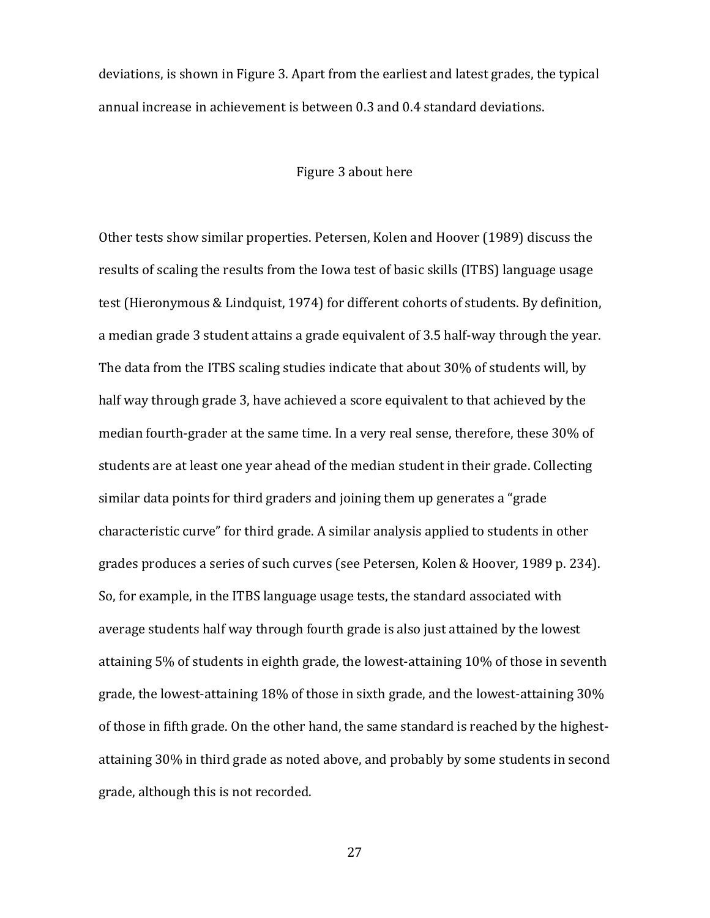deviations, is shown in Figure 3. Apart from the earliest and latest grades, the typical annual increase in achievement is between 0.3 and 0.4 standard deviations.

## Figure 3 about here

Other tests show similar properties. Petersen, Kolen and Hoover (1989) discuss the results of scaling the results from the Iowa test of basic skills (ITBS) language usage test (Hieronymous & Lindquist, 1974) for different cohorts of students. By definition, a median grade 3 student attains a grade equivalent of 3.5 half-way through the year. The data from the ITBS scaling studies indicate that about 30% of students will, by half way through grade 3, have achieved a score equivalent to that achieved by the median fourth-grader at the same time. In a very real sense, therefore, these 30% of students are at least one year ahead of the median student in their grade. Collecting similar data points for third graders and joining them up generates a "grade characteristic curve" for third grade. A similar analysis applied to students in other grades produces a series of such curves (see Petersen, Kolen & Hoover, 1989 p. 234). So, for example, in the ITBS language usage tests, the standard associated with average students half way through fourth grade is also just attained by the lowest attaining 5% of students in eighth grade, the lowest-attaining 10% of those in seventh grade, the lowest-attaining 18% of those in sixth grade, and the lowest-attaining 30% of those in fifth grade. On the other hand, the same standard is reached by the highestattaining 30% in third grade as noted above, and probably by some students in second grade, although this is not recorded.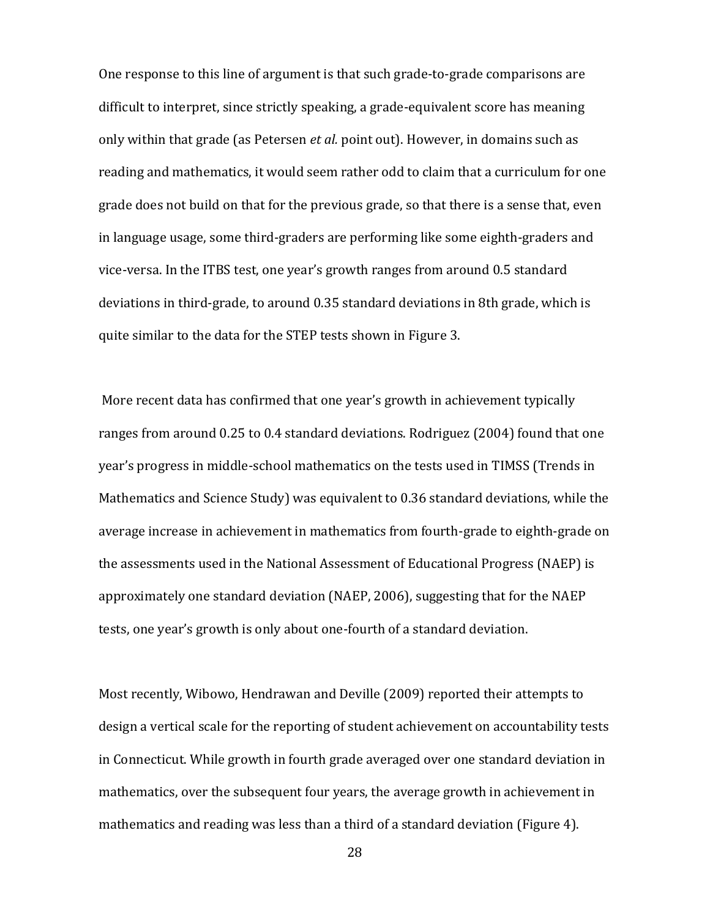One response to this line of argument is that such grade-to-grade comparisons are difficult to interpret, since strictly speaking, a grade-equivalent score has meaning only within that grade (as Petersen *et al.* point out). However, in domains such as reading and mathematics, it would seem rather odd to claim that a curriculum for one grade does not build on that for the previous grade, so that there is a sense that, even in language usage, some third-graders are performing like some eighth-graders and vice-versa. In the ITBS test, one year's growth ranges from around 0.5 standard deviations in third-grade, to around 0.35 standard deviations in 8th grade, which is quite similar to the data for the STEP tests shown in Figure 3.

 More recent data has confirmed that one year's growth in achievement typically ranges from around 0.25 to 0.4 standard deviations. Rodriguez (2004) found that one year's progress in middle-school mathematics on the tests used in TIMSS (Trends in Mathematics and Science Study) was equivalent to 0.36 standard deviations, while the average increase in achievement in mathematics from fourth-grade to eighth-grade on the assessments used in the National Assessment of Educational Progress (NAEP) is approximately one standard deviation (NAEP, 2006), suggesting that for the NAEP tests, one year's growth is only about one-fourth of a standard deviation.

Most recently, Wibowo, Hendrawan and Deville (2009) reported their attempts to design a vertical scale for the reporting of student achievement on accountability tests in Connecticut. While growth in fourth grade averaged over one standard deviation in mathematics, over the subsequent four years, the average growth in achievement in mathematics and reading was less than a third of a standard deviation (Figure 4).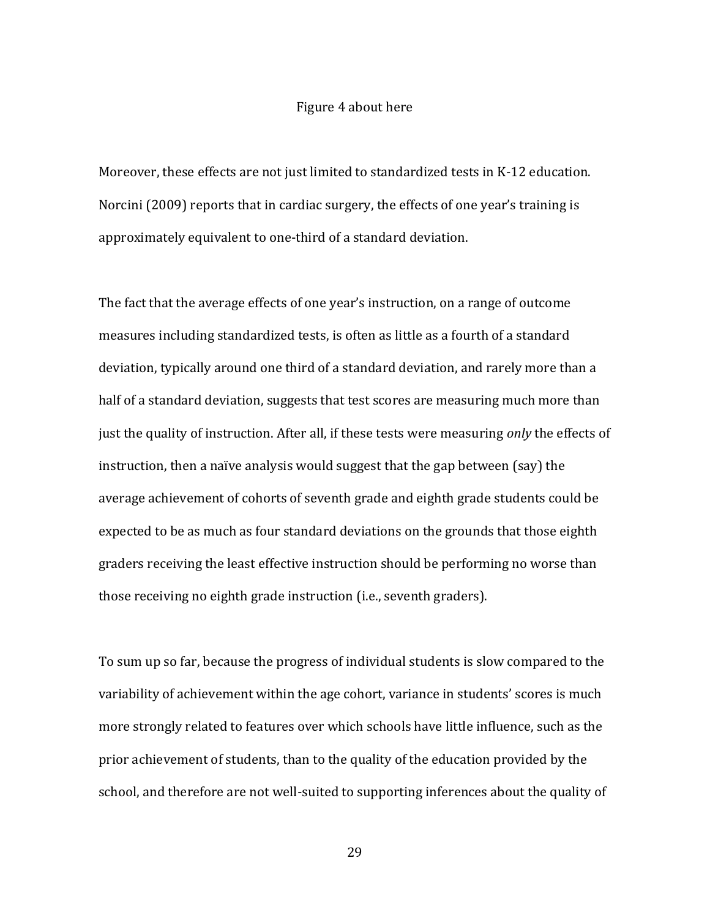#### Figure 4 about here

Moreover, these effects are not just limited to standardized tests in K-12 education. Norcini (2009) reports that in cardiac surgery, the effects of one year's training is approximately equivalent to one-third of a standard deviation.

The fact that the average effects of one year's instruction, on a range of outcome measures including standardized tests, is often as little as a fourth of a standard deviation, typically around one third of a standard deviation, and rarely more than a half of a standard deviation, suggests that test scores are measuring much more than just the quality of instruction. After all, if these tests were measuring *only* the effects of instruction, then a naïve analysis would suggest that the gap between (say) the average achievement of cohorts of seventh grade and eighth grade students could be expected to be as much as four standard deviations on the grounds that those eighth graders receiving the least effective instruction should be performing no worse than those receiving no eighth grade instruction (i.e., seventh graders).

To sum up so far, because the progress of individual students is slow compared to the variability of achievement within the age cohort, variance in students' scores is much more strongly related to features over which schools have little influence, such as the prior achievement of students, than to the quality of the education provided by the school, and therefore are not well-suited to supporting inferences about the quality of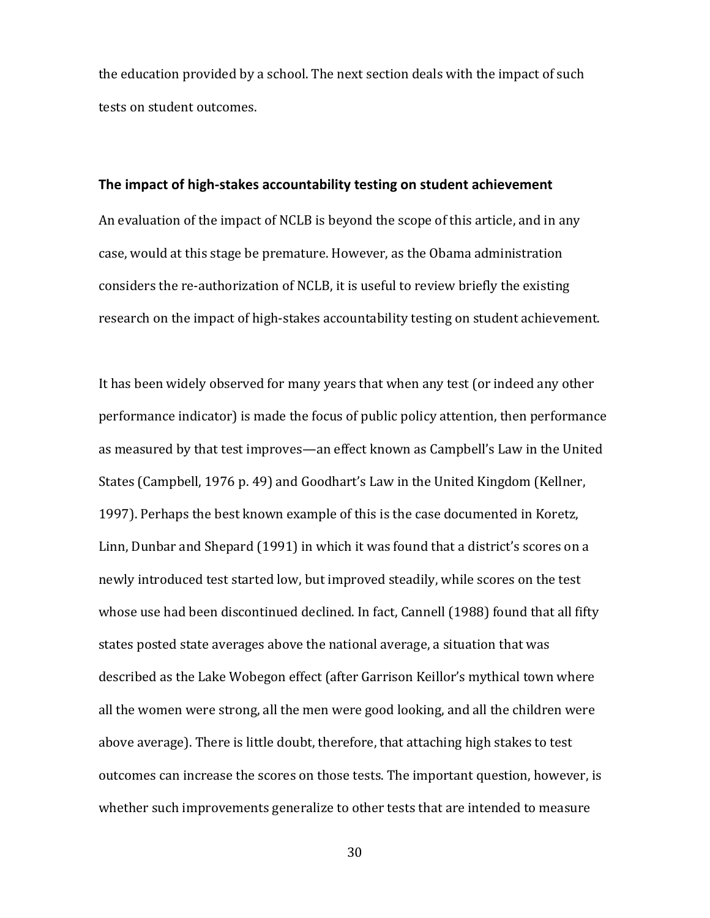the education provided by a school. The next section deals with the impact of such tests on student outcomes.

#### **The impact of high-stakes accountability testing on student achievement**

An evaluation of the impact of NCLB is beyond the scope of this article, and in any case, would at this stage be premature. However, as the Obama administration considers the re-authorization of NCLB, it is useful to review briefly the existing research on the impact of high-stakes accountability testing on student achievement.

It has been widely observed for many years that when any test (or indeed any other performance indicator) is made the focus of public policy attention, then performance as measured by that test improves—an effect known as Campbell's Law in the United States (Campbell, 1976 p. 49) and Goodhart's Law in the United Kingdom (Kellner, 1997). Perhaps the best known example of this is the case documented in Koretz, Linn, Dunbar and Shepard (1991) in which it was found that a district's scores on a newly introduced test started low, but improved steadily, while scores on the test whose use had been discontinued declined. In fact, Cannell (1988) found that all fifty states posted state averages above the national average, a situation that was described as the Lake Wobegon effect (after Garrison Keillor's mythical town where all the women were strong, all the men were good looking, and all the children were above average). There is little doubt, therefore, that attaching high stakes to test outcomes can increase the scores on those tests. The important question, however, is whether such improvements generalize to other tests that are intended to measure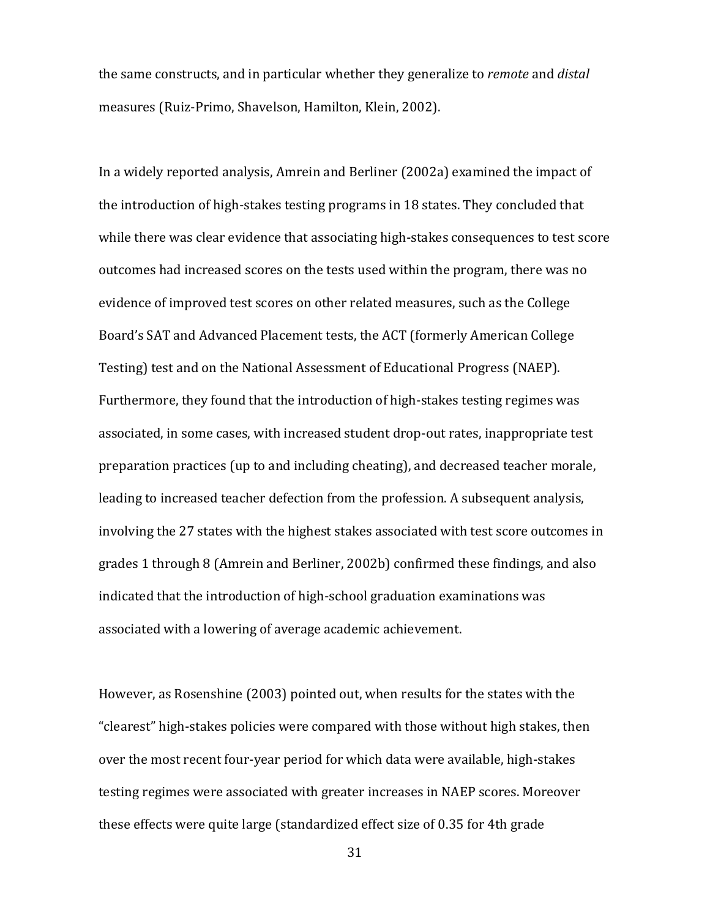the same constructs, and in particular whether they generalize to *remote* and *distal* measures (Ruiz-Primo, Shavelson, Hamilton, Klein, 2002).

In a widely reported analysis, Amrein and Berliner (2002a) examined the impact of the introduction of high-stakes testing programs in 18 states. They concluded that while there was clear evidence that associating high-stakes consequences to test score outcomes had increased scores on the tests used within the program, there was no evidence of improved test scores on other related measures, such as the College Board's SAT and Advanced Placement tests, the ACT (formerly American College Testing) test and on the National Assessment of Educational Progress (NAEP). Furthermore, they found that the introduction of high-stakes testing regimes was associated, in some cases, with increased student drop-out rates, inappropriate test preparation practices (up to and including cheating), and decreased teacher morale, leading to increased teacher defection from the profession. A subsequent analysis, involving the 27 states with the highest stakes associated with test score outcomes in grades 1 through 8 (Amrein and Berliner, 2002b) confirmed these findings, and also indicated that the introduction of high-school graduation examinations was associated with a lowering of average academic achievement.

However, as Rosenshine (2003) pointed out, when results for the states with the "clearest" high-stakes policies were compared with those without high stakes, then over the most recent four-year period for which data were available, high-stakes testing regimes were associated with greater increases in NAEP scores. Moreover these effects were quite large (standardized effect size of 0.35 for 4th grade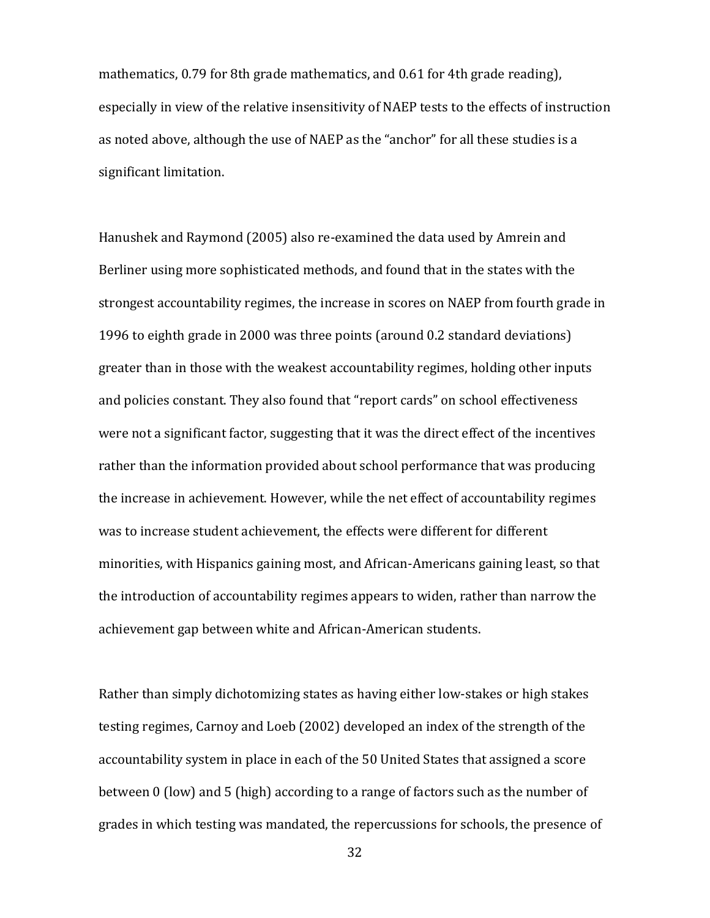mathematics, 0.79 for 8th grade mathematics, and 0.61 for 4th grade reading), especially in view of the relative insensitivity of NAEP tests to the effects of instruction as noted above, although the use of NAEP as the "anchor" for all these studies is a significant limitation.

Hanushek and Raymond (2005) also re-examined the data used by Amrein and Berliner using more sophisticated methods, and found that in the states with the strongest accountability regimes, the increase in scores on NAEP from fourth grade in 1996 to eighth grade in 2000 was three points (around 0.2 standard deviations) greater than in those with the weakest accountability regimes, holding other inputs and policies constant. They also found that "report cards" on school effectiveness were not a significant factor, suggesting that it was the direct effect of the incentives rather than the information provided about school performance that was producing the increase in achievement. However, while the net effect of accountability regimes was to increase student achievement, the effects were different for different minorities, with Hispanics gaining most, and African-Americans gaining least, so that the introduction of accountability regimes appears to widen, rather than narrow the achievement gap between white and African-American students.

Rather than simply dichotomizing states as having either low-stakes or high stakes testing regimes, Carnoy and Loeb (2002) developed an index of the strength of the accountability system in place in each of the 50 United States that assigned a score between 0 (low) and 5 (high) according to a range of factors such as the number of grades in which testing was mandated, the repercussions for schools, the presence of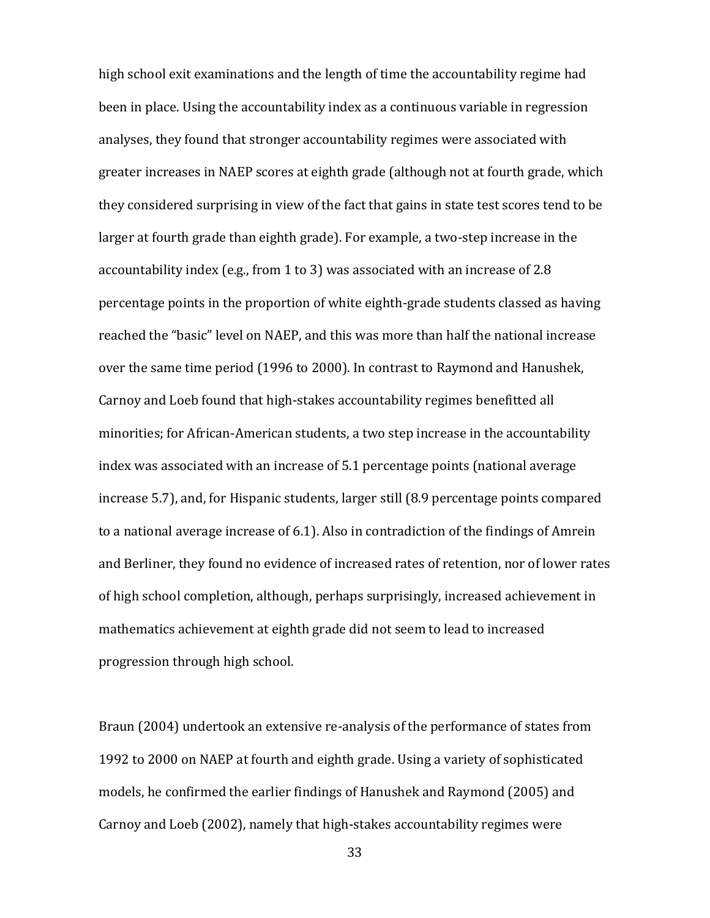high school exit examinations and the length of time the accountability regime had been in place. Using the accountability index as a continuous variable in regression analyses, they found that stronger accountability regimes were associated with greater increases in NAEP scores at eighth grade (although not at fourth grade, which they considered surprising in view of the fact that gains in state test scores tend to be larger at fourth grade than eighth grade). For example, a two-step increase in the accountability index (e.g., from 1 to 3) was associated with an increase of 2.8 percentage points in the proportion of white eighth-grade students classed as having reached the "basic" level on NAEP, and this was more than half the national increase over the same time period (1996 to 2000). In contrast to Raymond and Hanushek, Carnoy and Loeb found that high-stakes accountability regimes benefitted all minorities; for African-American students, a two step increase in the accountability index was associated with an increase of 5.1 percentage points (national average increase 5.7), and, for Hispanic students, larger still (8.9 percentage points compared to a national average increase of 6.1). Also in contradiction of the findings of Amrein and Berliner, they found no evidence of increased rates of retention, nor of lower rates of high school completion, although, perhaps surprisingly, increased achievement in mathematics achievement at eighth grade did not seem to lead to increased progression through high school.

Braun (2004) undertook an extensive re-analysis of the performance of states from 1992 to 2000 on NAEP at fourth and eighth grade. Using a variety of sophisticated models, he confirmed the earlier findings of Hanushek and Raymond (2005) and Carnoy and Loeb (2002), namely that high-stakes accountability regimes were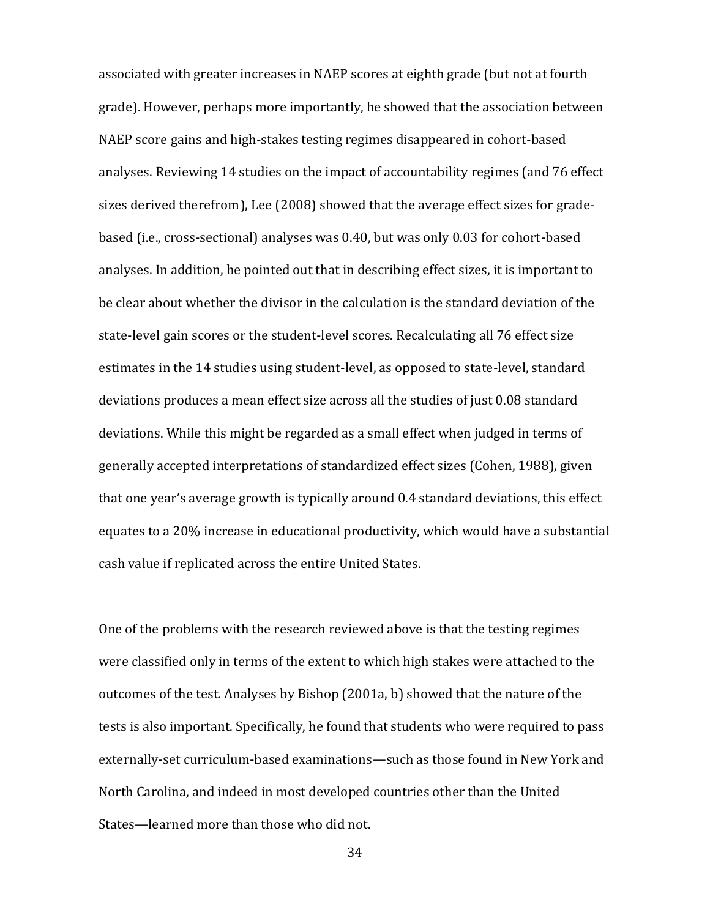associated with greater increases in NAEP scores at eighth grade (but not at fourth grade). However, perhaps more importantly, he showed that the association between NAEP score gains and high-stakes testing regimes disappeared in cohort-based analyses. Reviewing 14 studies on the impact of accountability regimes (and 76 effect sizes derived therefrom), Lee (2008) showed that the average effect sizes for gradebased (i.e., cross-sectional) analyses was 0.40, but was only 0.03 for cohort-based analyses. In addition, he pointed out that in describing effect sizes, it is important to be clear about whether the divisor in the calculation is the standard deviation of the state-level gain scores or the student-level scores. Recalculating all 76 effect size estimates in the 14 studies using student-level, as opposed to state-level, standard deviations produces a mean effect size across all the studies of just 0.08 standard deviations. While this might be regarded as a small effect when judged in terms of generally accepted interpretations of standardized effect sizes (Cohen, 1988), given that one year's average growth is typically around 0.4 standard deviations, this effect equates to a 20% increase in educational productivity, which would have a substantial cash value if replicated across the entire United States.

One of the problems with the research reviewed above is that the testing regimes were classified only in terms of the extent to which high stakes were attached to the outcomes of the test. Analyses by Bishop (2001a, b) showed that the nature of the tests is also important. Specifically, he found that students who were required to pass externally-set curriculum-based examinations—such as those found in New York and North Carolina, and indeed in most developed countries other than the United States—learned more than those who did not.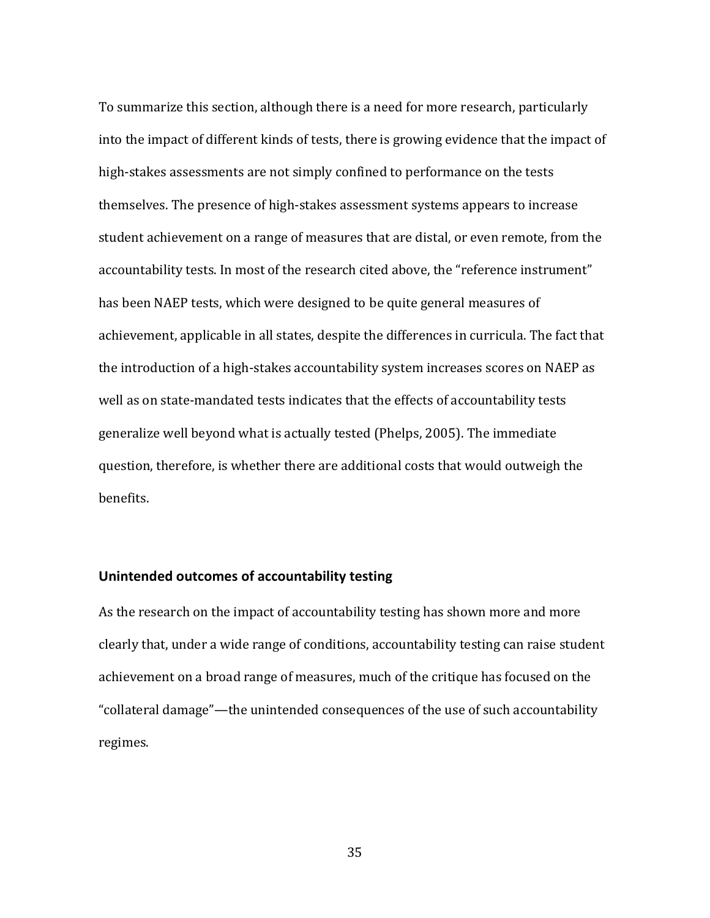To summarize this section, although there is a need for more research, particularly into the impact of different kinds of tests, there is growing evidence that the impact of high-stakes assessments are not simply confined to performance on the tests themselves. The presence of high-stakes assessment systems appears to increase student achievement on a range of measures that are distal, or even remote, from the accountability tests. In most of the research cited above, the "reference instrument" has been NAEP tests, which were designed to be quite general measures of achievement, applicable in all states, despite the differences in curricula. The fact that the introduction of a high-stakes accountability system increases scores on NAEP as well as on state-mandated tests indicates that the effects of accountability tests generalize well beyond what is actually tested (Phelps, 2005). The immediate question, therefore, is whether there are additional costs that would outweigh the benefits.

## **Unintended outcomes of accountability testing**

As the research on the impact of accountability testing has shown more and more clearly that, under a wide range of conditions, accountability testing can raise student achievement on a broad range of measures, much of the critique has focused on the "collateral damage"—the unintended consequences of the use of such accountability regimes.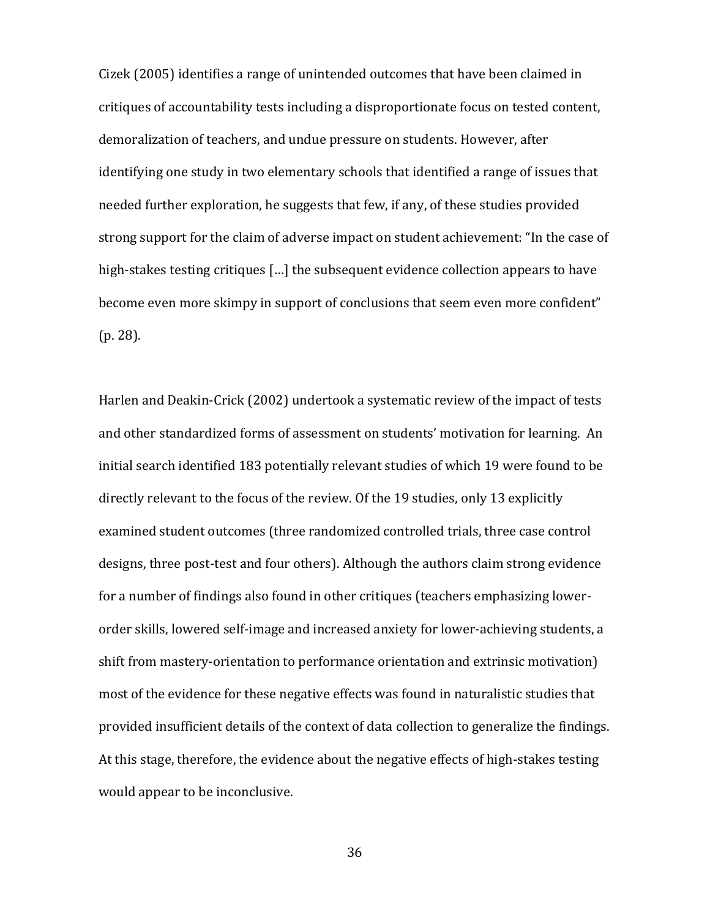Cizek (2005) identifies a range of unintended outcomes that have been claimed in critiques of accountability tests including a disproportionate focus on tested content, demoralization of teachers, and undue pressure on students. However, after identifying one study in two elementary schools that identified a range of issues that needed further exploration, he suggests that few, if any, of these studies provided strong support for the claim of adverse impact on student achievement: "In the case of high-stakes testing critiques […] the subsequent evidence collection appears to have become even more skimpy in support of conclusions that seem even more confident" (p. 28).

Harlen and Deakin-Crick (2002) undertook a systematic review of the impact of tests and other standardized forms of assessment on students' motivation for learning. An initial search identified 183 potentially relevant studies of which 19 were found to be directly relevant to the focus of the review. Of the 19 studies, only 13 explicitly examined student outcomes (three randomized controlled trials, three case control designs, three post-test and four others). Although the authors claim strong evidence for a number of findings also found in other critiques (teachers emphasizing lowerorder skills, lowered self-image and increased anxiety for lower-achieving students, a shift from mastery-orientation to performance orientation and extrinsic motivation) most of the evidence for these negative effects was found in naturalistic studies that provided insufficient details of the context of data collection to generalize the findings. At this stage, therefore, the evidence about the negative effects of high-stakes testing would appear to be inconclusive.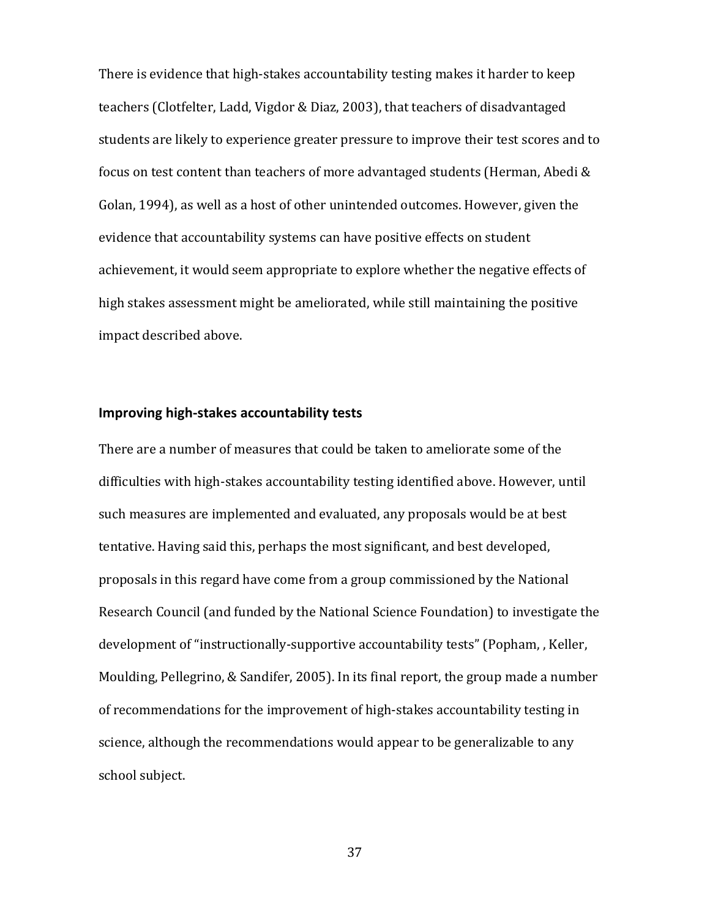There is evidence that high-stakes accountability testing makes it harder to keep teachers (Clotfelter, Ladd, Vigdor & Diaz, 2003), that teachers of disadvantaged students are likely to experience greater pressure to improve their test scores and to focus on test content than teachers of more advantaged students (Herman, Abedi & Golan, 1994), as well as a host of other unintended outcomes. However, given the evidence that accountability systems can have positive effects on student achievement, it would seem appropriate to explore whether the negative effects of high stakes assessment might be ameliorated, while still maintaining the positive impact described above.

#### **Improving high-stakes accountability tests**

There are a number of measures that could be taken to ameliorate some of the difficulties with high-stakes accountability testing identified above. However, until such measures are implemented and evaluated, any proposals would be at best tentative. Having said this, perhaps the most significant, and best developed, proposals in this regard have come from a group commissioned by the National Research Council (and funded by the National Science Foundation) to investigate the development of "instructionally-supportive accountability tests" (Popham, , Keller, Moulding, Pellegrino, & Sandifer, 2005). In its final report, the group made a number of recommendations for the improvement of high-stakes accountability testing in science, although the recommendations would appear to be generalizable to any school subject.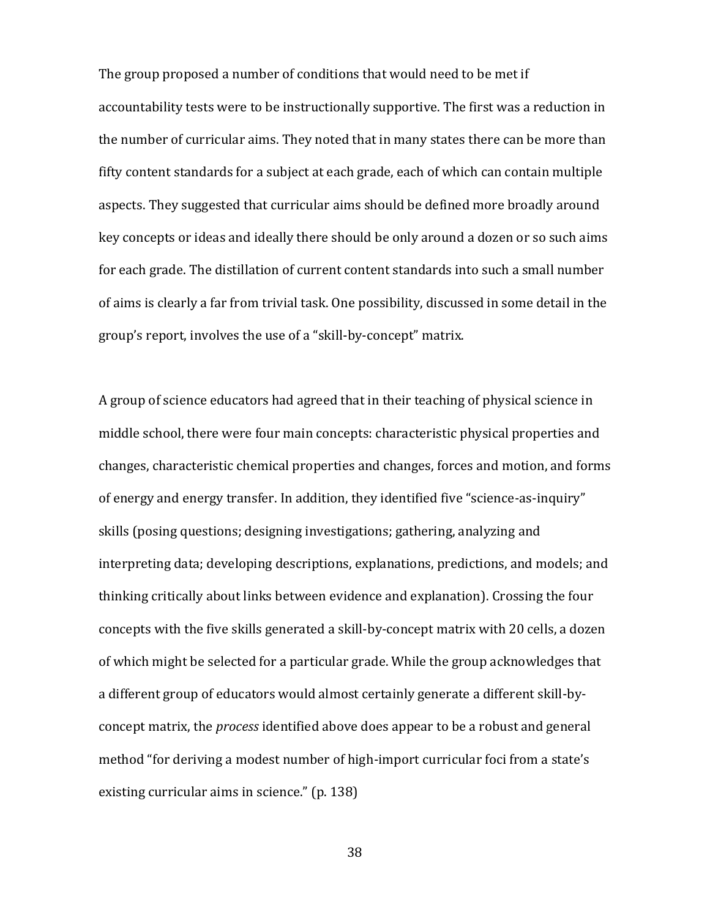The group proposed a number of conditions that would need to be met if accountability tests were to be instructionally supportive. The first was a reduction in the number of curricular aims. They noted that in many states there can be more than fifty content standards for a subject at each grade, each of which can contain multiple aspects. They suggested that curricular aims should be defined more broadly around key concepts or ideas and ideally there should be only around a dozen or so such aims for each grade. The distillation of current content standards into such a small number of aims is clearly a far from trivial task. One possibility, discussed in some detail in the group's report, involves the use of a "skill-by-concept" matrix.

A group of science educators had agreed that in their teaching of physical science in middle school, there were four main concepts: characteristic physical properties and changes, characteristic chemical properties and changes, forces and motion, and forms of energy and energy transfer. In addition, they identified five "science-as-inquiry" skills (posing questions; designing investigations; gathering, analyzing and interpreting data; developing descriptions, explanations, predictions, and models; and thinking critically about links between evidence and explanation). Crossing the four concepts with the five skills generated a skill-by-concept matrix with 20 cells, a dozen of which might be selected for a particular grade. While the group acknowledges that a different group of educators would almost certainly generate a different skill-byconcept matrix, the *process* identified above does appear to be a robust and general method "for deriving a modest number of high-import curricular foci from a state's existing curricular aims in science." (p. 138)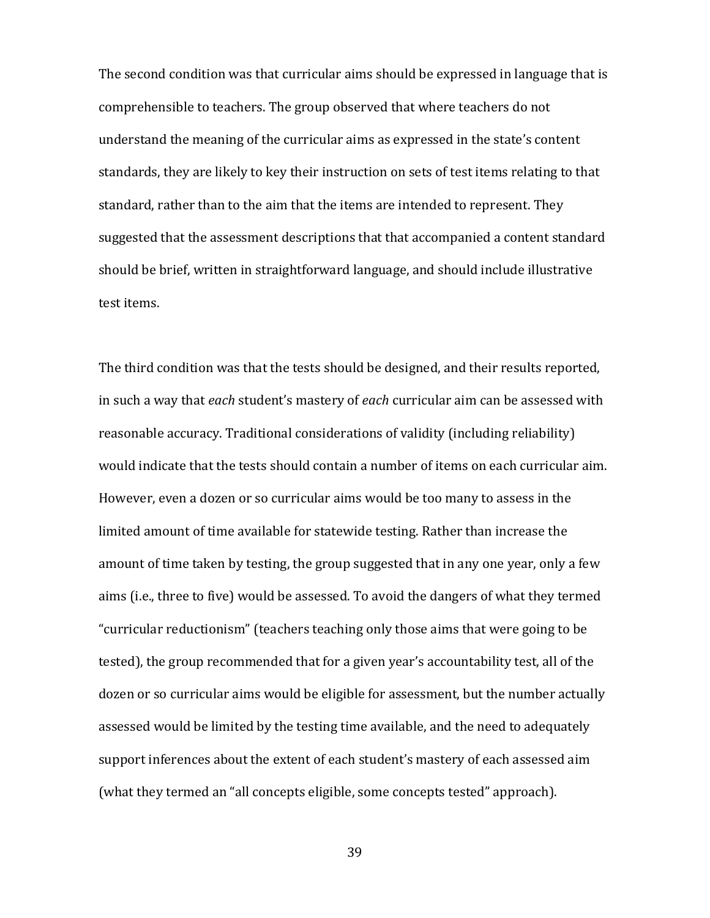The second condition was that curricular aims should be expressed in language that is comprehensible to teachers. The group observed that where teachers do not understand the meaning of the curricular aims as expressed in the state's content standards, they are likely to key their instruction on sets of test items relating to that standard, rather than to the aim that the items are intended to represent. They suggested that the assessment descriptions that that accompanied a content standard should be brief, written in straightforward language, and should include illustrative test items.

The third condition was that the tests should be designed, and their results reported, in such a way that *each* student's mastery of *each* curricular aim can be assessed with reasonable accuracy. Traditional considerations of validity (including reliability) would indicate that the tests should contain a number of items on each curricular aim. However, even a dozen or so curricular aims would be too many to assess in the limited amount of time available for statewide testing. Rather than increase the amount of time taken by testing, the group suggested that in any one year, only a few aims (i.e., three to five) would be assessed. To avoid the dangers of what they termed "curricular reductionism" (teachers teaching only those aims that were going to be tested), the group recommended that for a given year's accountability test, all of the dozen or so curricular aims would be eligible for assessment, but the number actually assessed would be limited by the testing time available, and the need to adequately support inferences about the extent of each student's mastery of each assessed aim (what they termed an "all concepts eligible, some concepts tested" approach).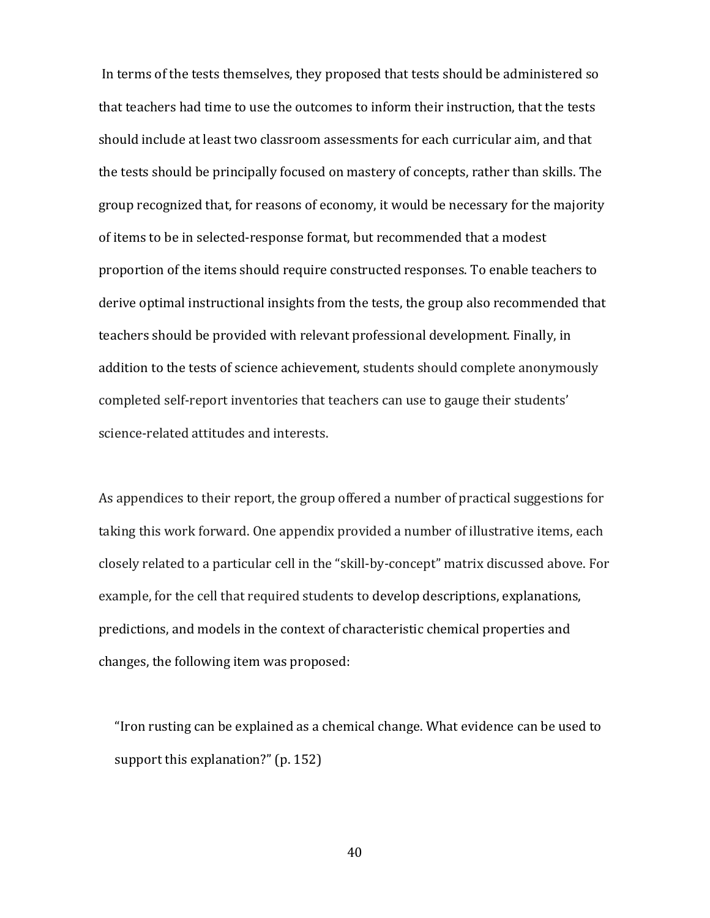In terms of the tests themselves, they proposed that tests should be administered so that teachers had time to use the outcomes to inform their instruction, that the tests should include at least two classroom assessments for each curricular aim, and that the tests should be principally focused on mastery of concepts, rather than skills. The group recognized that, for reasons of economy, it would be necessary for the majority of items to be in selected-response format, but recommended that a modest proportion of the items should require constructed responses. To enable teachers to derive optimal instructional insights from the tests, the group also recommended that teachers should be provided with relevant professional development. Finally, in addition to the tests of science achievement, students should complete anonymously completed self-report inventories that teachers can use to gauge their students' science-related attitudes and interests.

As appendices to their report, the group offered a number of practical suggestions for taking this work forward. One appendix provided a number of illustrative items, each closely related to a particular cell in the "skill-by-concept" matrix discussed above. For example, for the cell that required students to develop descriptions, explanations, predictions, and models in the context of characteristic chemical properties and changes, the following item was proposed:

"Iron rusting can be explained as a chemical change. What evidence can be used to support this explanation?" (p. 152)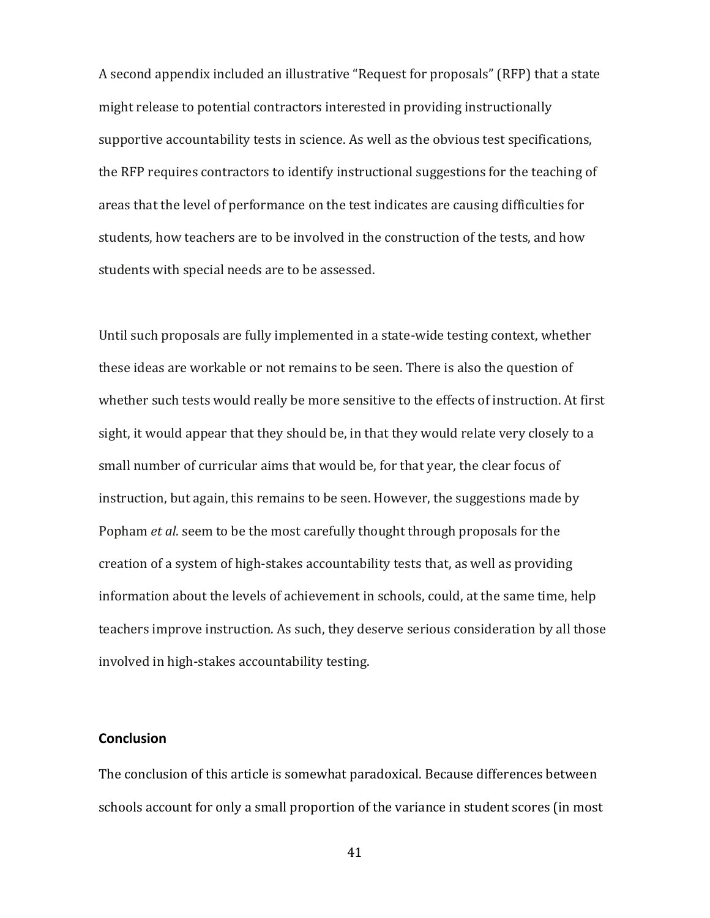A second appendix included an illustrative "Request for proposals" (RFP) that a state might release to potential contractors interested in providing instructionally supportive accountability tests in science. As well as the obvious test specifications, the RFP requires contractors to identify instructional suggestions for the teaching of areas that the level of performance on the test indicates are causing difficulties for students, how teachers are to be involved in the construction of the tests, and how students with special needs are to be assessed.

Until such proposals are fully implemented in a state-wide testing context, whether these ideas are workable or not remains to be seen. There is also the question of whether such tests would really be more sensitive to the effects of instruction. At first sight, it would appear that they should be, in that they would relate very closely to a small number of curricular aims that would be, for that year, the clear focus of instruction, but again, this remains to be seen. However, the suggestions made by Popham *et al*. seem to be the most carefully thought through proposals for the creation of a system of high-stakes accountability tests that, as well as providing information about the levels of achievement in schools, could, at the same time, help teachers improve instruction. As such, they deserve serious consideration by all those involved in high-stakes accountability testing.

## **Conclusion**

The conclusion of this article is somewhat paradoxical. Because differences between schools account for only a small proportion of the variance in student scores (in most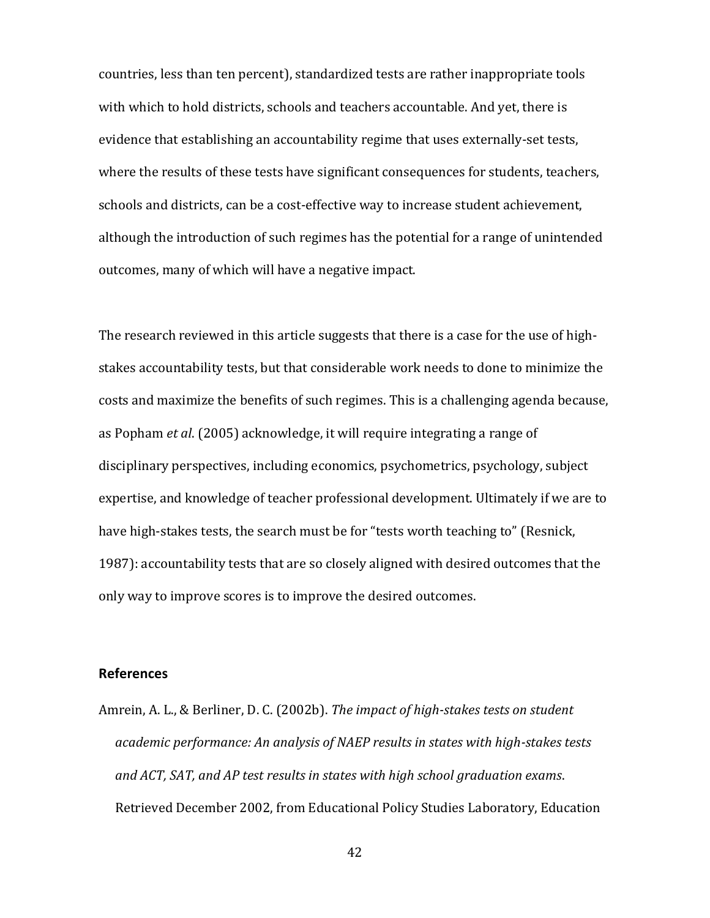countries, less than ten percent), standardized tests are rather inappropriate tools with which to hold districts, schools and teachers accountable. And yet, there is evidence that establishing an accountability regime that uses externally-set tests, where the results of these tests have significant consequences for students, teachers, schools and districts, can be a cost-effective way to increase student achievement, although the introduction of such regimes has the potential for a range of unintended outcomes, many of which will have a negative impact.

The research reviewed in this article suggests that there is a case for the use of highstakes accountability tests, but that considerable work needs to done to minimize the costs and maximize the benefits of such regimes. This is a challenging agenda because, as Popham *et al*. (2005) acknowledge, it will require integrating a range of disciplinary perspectives, including economics, psychometrics, psychology, subject expertise, and knowledge of teacher professional development. Ultimately if we are to have high-stakes tests, the search must be for "tests worth teaching to" (Resnick, 1987): accountability tests that are so closely aligned with desired outcomes that the only way to improve scores is to improve the desired outcomes.

#### **References**

Amrein, A. L., & Berliner, D. C. (2002b). *The impact of high-stakes tests on student academic performance: An analysis of NAEP results in states with high-stakes tests and ACT, SAT, and AP test results in states with high school graduation exams*. Retrieved December 2002, from Educational Policy Studies Laboratory, Education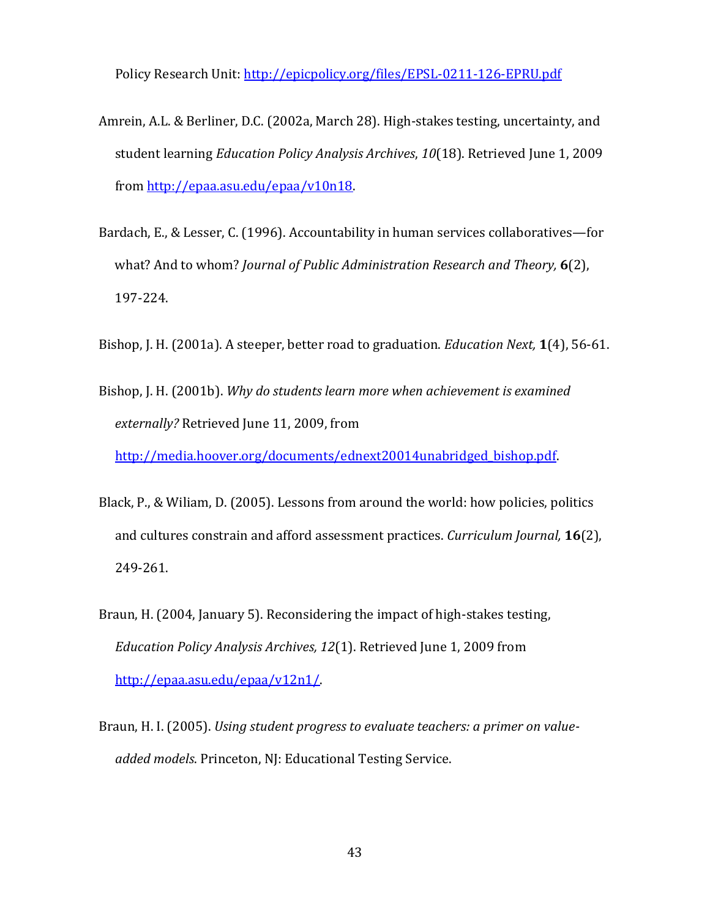Policy Research Unit: <http://epicpolicy.org/files/EPSL-0211-126-EPRU.pdf>

- Amrein, A.L. & Berliner, D.C. (2002a, March 28). High-stakes testing, uncertainty, and student learning *Education Policy Analysis Archives*, *10*(18). Retrieved June 1, 2009 from [http://epaa.asu.edu/epaa/v10n18.](http://epaa.asu.edu/epaa/v10n18)
- Bardach, E., & Lesser, C. (1996). Accountability in human services collaboratives—for what? And to whom? *Journal of Public Administration Research and Theory,* **6**(2), 197-224.
- Bishop, J. H. (2001a). A steeper, better road to graduation. *Education Next,* **1**(4), 56-61.
- Bishop, J. H. (2001b). *Why do students learn more when achievement is examined externally?* Retrieved June 11, 2009, from

[http://media.hoover.org/documents/ednext20014unabridged\\_bishop.pdf.](http://media.hoover.org/documents/ednext20014unabridged_bishop.pdf)

- Black, P., & Wiliam, D. (2005). Lessons from around the world: how policies, politics and cultures constrain and afford assessment practices. *Curriculum Journal,* **16**(2), 249-261.
- Braun, H. (2004, January 5). Reconsidering the impact of high-stakes testing, *Education Policy Analysis Archives, 12*(1). Retrieved June 1, 2009 from [http://epaa.asu.edu/epaa/v12n1/.](http://epaa.asu.edu/epaa/v12n1/)
- Braun, H. I. (2005). *Using student progress to evaluate teachers: a primer on valueadded models*. Princeton, NJ: Educational Testing Service.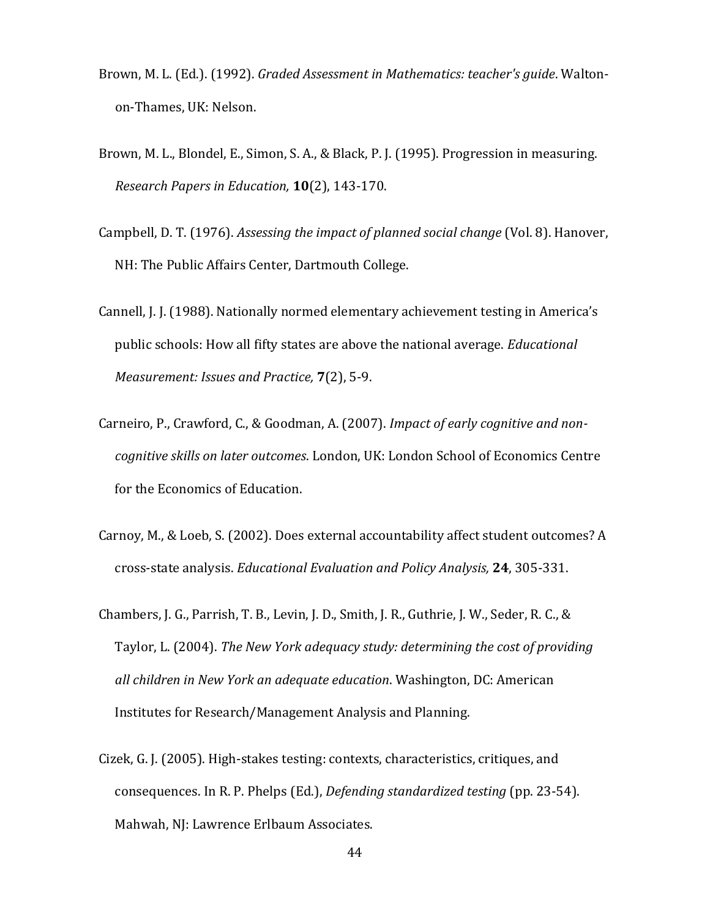- Brown, M. L. (Ed.). (1992). *Graded Assessment in Mathematics: teacher's guide*. Waltonon-Thames, UK: Nelson.
- Brown, M. L., Blondel, E., Simon, S. A., & Black, P. J. (1995). Progression in measuring. *Research Papers in Education,* **10**(2), 143-170.
- Campbell, D. T. (1976). *Assessing the impact of planned social change* (Vol. 8). Hanover, NH: The Public Affairs Center, Dartmouth College.
- Cannell, J. J. (1988). Nationally normed elementary achievement testing in America's public schools: How all fifty states are above the national average. *Educational Measurement: Issues and Practice,* **7**(2), 5-9.
- Carneiro, P., Crawford, C., & Goodman, A. (2007). *Impact of early cognitive and noncognitive skills on later outcomes*. London, UK: London School of Economics Centre for the Economics of Education.
- Carnoy, M., & Loeb, S. (2002). Does external accountability affect student outcomes? A cross-state analysis. *Educational Evaluation and Policy Analysis,* **24**, 305-331.
- Chambers, J. G., Parrish, T. B., Levin, J. D., Smith, J. R., Guthrie, J. W., Seder, R. C., & Taylor, L. (2004). *The New York adequacy study: determining the cost of providing all children in New York an adequate education*. Washington, DC: American Institutes for Research/Management Analysis and Planning.
- Cizek, G. J. (2005). High-stakes testing: contexts, characteristics, critiques, and consequences. In R. P. Phelps (Ed.), *Defending standardized testing* (pp. 23-54). Mahwah, NJ: Lawrence Erlbaum Associates.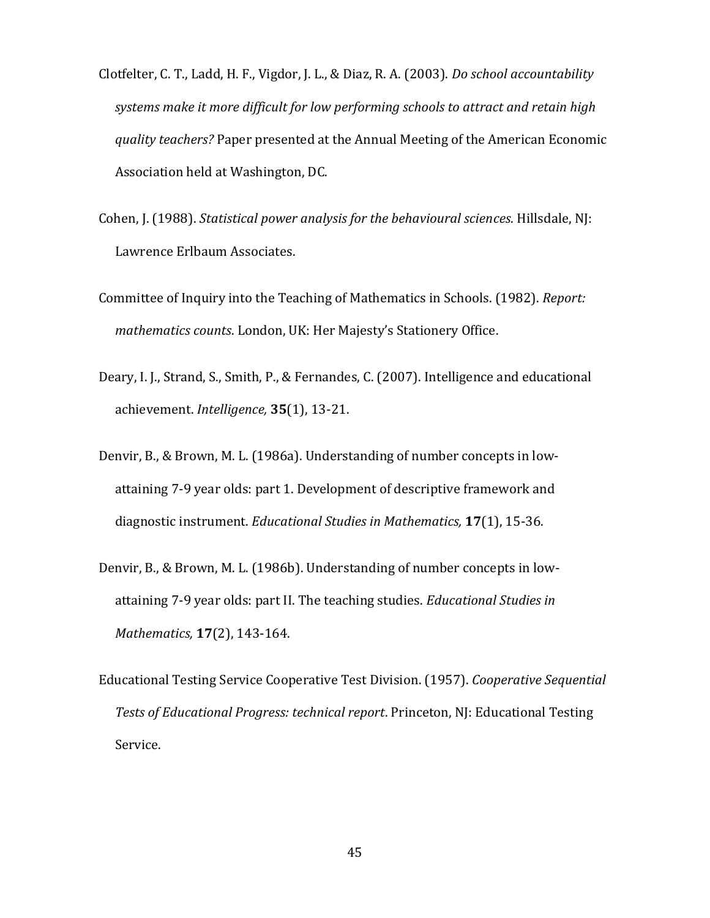- Clotfelter, C. T., Ladd, H. F., Vigdor, J. L., & Diaz, R. A. (2003). *Do school accountability systems make it more difficult for low performing schools to attract and retain high quality teachers?* Paper presented at the Annual Meeting of the American Economic Association held at Washington, DC.
- Cohen, J. (1988). *Statistical power analysis for the behavioural sciences*. Hillsdale, NJ: Lawrence Erlbaum Associates.
- Committee of Inquiry into the Teaching of Mathematics in Schools. (1982). *Report: mathematics counts*. London, UK: Her Majesty's Stationery Office.
- Deary, I. J., Strand, S., Smith, P., & Fernandes, C. (2007). Intelligence and educational achievement. *Intelligence,* **35**(1), 13-21.
- Denvir, B., & Brown, M. L. (1986a). Understanding of number concepts in lowattaining 7-9 year olds: part 1. Development of descriptive framework and diagnostic instrument. *Educational Studies in Mathematics,* **17**(1), 15-36.
- Denvir, B., & Brown, M. L. (1986b). Understanding of number concepts in lowattaining 7-9 year olds: part II. The teaching studies. *Educational Studies in Mathematics,* **17**(2), 143-164.
- Educational Testing Service Cooperative Test Division. (1957). *Cooperative Sequential Tests of Educational Progress: technical report*. Princeton, NJ: Educational Testing Service.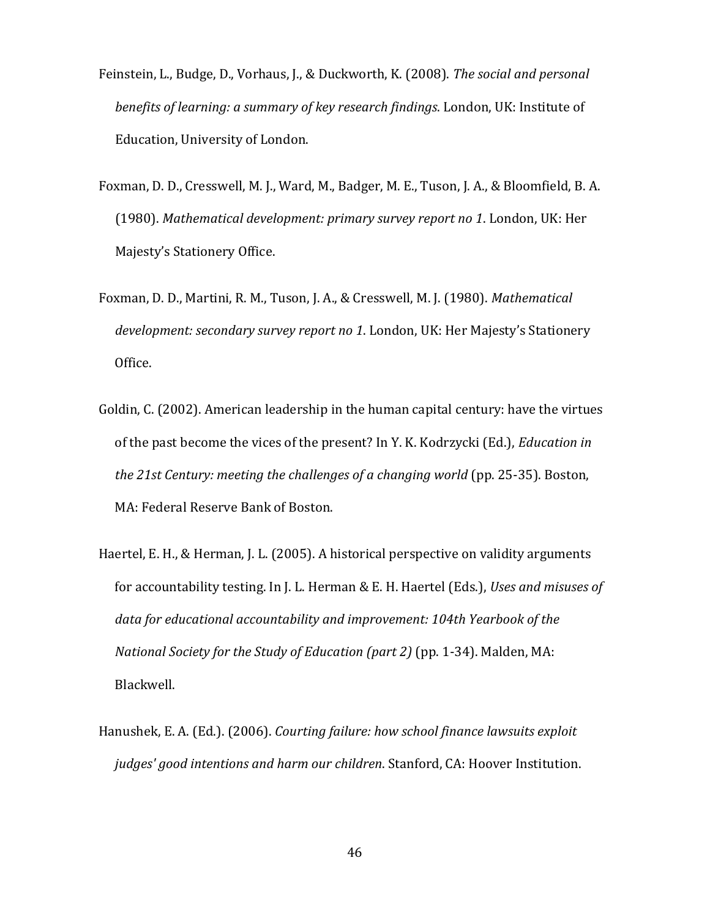- Feinstein, L., Budge, D., Vorhaus, J., & Duckworth, K. (2008). *The social and personal benefits of learning: a summary of key research findings*. London, UK: Institute of Education, University of London.
- Foxman, D. D., Cresswell, M. J., Ward, M., Badger, M. E., Tuson, J. A., & Bloomfield, B. A. (1980). *Mathematical development: primary survey report no 1*. London, UK: Her Majesty's Stationery Office.
- Foxman, D. D., Martini, R. M., Tuson, J. A., & Cresswell, M. J. (1980). *Mathematical development: secondary survey report no 1*. London, UK: Her Majesty's Stationery Office.
- Goldin, C. (2002). American leadership in the human capital century: have the virtues of the past become the vices of the present? In Y. K. Kodrzycki (Ed.), *Education in the 21st Century: meeting the challenges of a changing world* (pp. 25-35). Boston, MA: Federal Reserve Bank of Boston.
- Haertel, E. H., & Herman, J. L. (2005). A historical perspective on validity arguments for accountability testing. In J. L. Herman & E. H. Haertel (Eds.), *Uses and misuses of data for educational accountability and improvement: 104th Yearbook of the National Society for the Study of Education (part 2)* (pp. 1-34). Malden, MA: Blackwell.
- Hanushek, E. A. (Ed.). (2006). *Courting failure: how school finance lawsuits exploit judges' good intentions and harm our children*. Stanford, CA: Hoover Institution.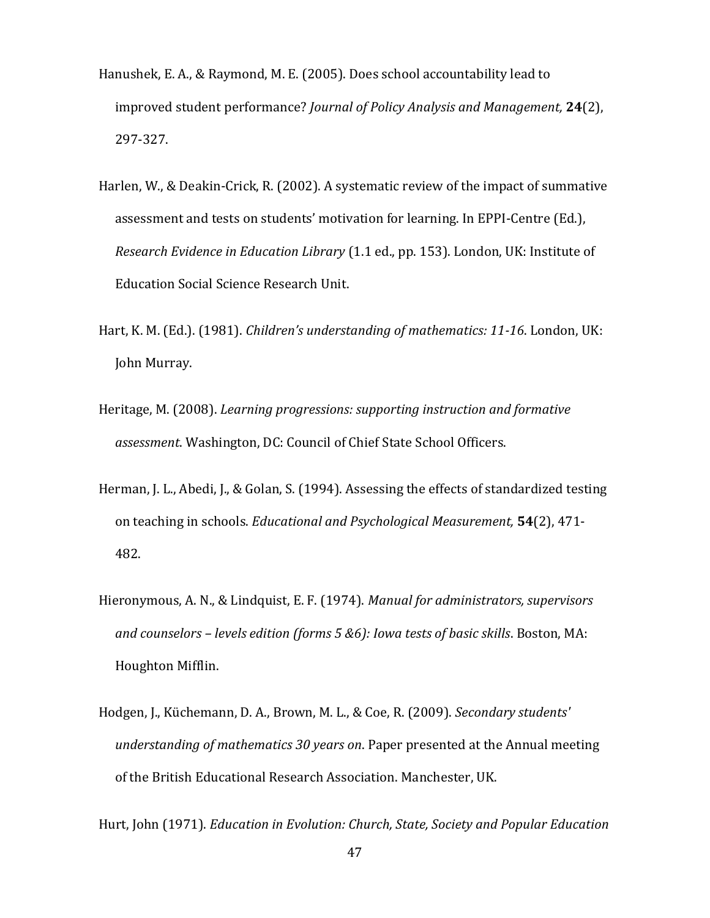- Hanushek, E. A., & Raymond, M. E. (2005). Does school accountability lead to improved student performance? *Journal of Policy Analysis and Management,* **24**(2), 297-327.
- Harlen, W., & Deakin-Crick, R. (2002). A systematic review of the impact of summative assessment and tests on students' motivation for learning. In EPPI-Centre (Ed.), *Research Evidence in Education Library* (1.1 ed., pp. 153). London, UK: Institute of Education Social Science Research Unit.
- Hart, K. M. (Ed.). (1981). *Children's understanding of mathematics: 11-16*. London, UK: John Murray.
- Heritage, M. (2008). *Learning progressions: supporting instruction and formative assessment*. Washington, DC: Council of Chief State School Officers.
- Herman, J. L., Abedi, J., & Golan, S. (1994). Assessing the effects of standardized testing on teaching in schools. *Educational and Psychological Measurement,* **54**(2), 471- 482.
- Hieronymous, A. N., & Lindquist, E. F. (1974). *Manual for administrators, supervisors and counselors – levels edition (forms 5 &6): Iowa tests of basic skills*. Boston, MA: Houghton Mifflin.
- Hodgen, J., Küchemann, D. A., Brown, M. L., & Coe, R. (2009). *Secondary students' understanding of mathematics 30 years on*. Paper presented at the Annual meeting of the British Educational Research Association. Manchester, UK.

Hurt, John (1971). *Education in Evolution: Church, State, Society and Popular Education*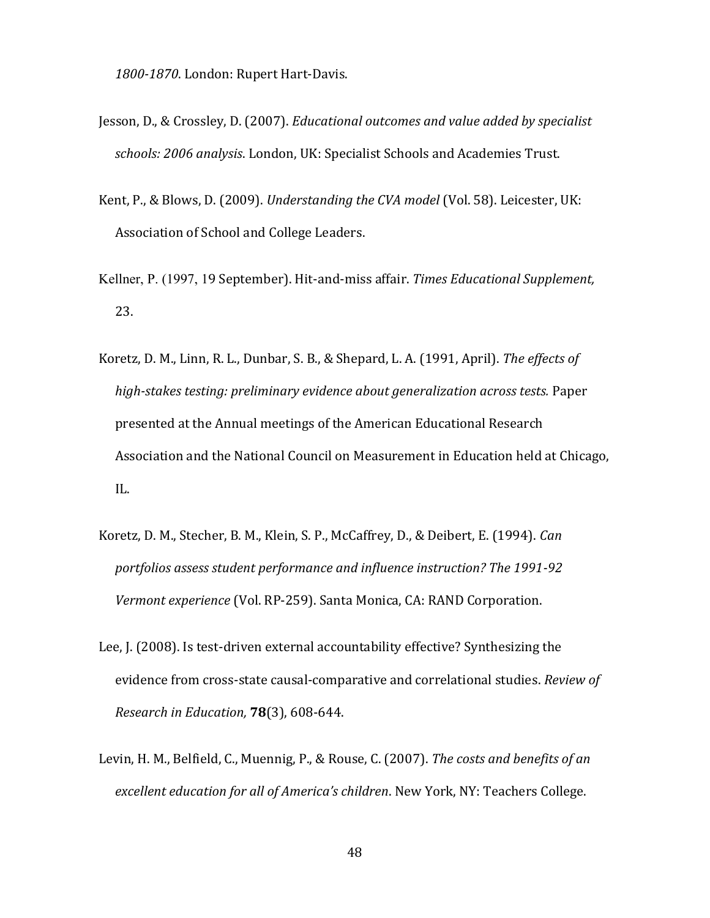*1800-1870*. London: Rupert Hart-Davis.

- Jesson, D., & Crossley, D. (2007). *Educational outcomes and value added by specialist schools: 2006 analysis*. London, UK: Specialist Schools and Academies Trust.
- Kent, P., & Blows, D. (2009). *Understanding the CVA model* (Vol. 58). Leicester, UK: Association of School and College Leaders.
- Kellner, P. (1997, 19 September). Hit-and-miss affair. *Times Educational Supplement,* 23.
- Koretz, D. M., Linn, R. L., Dunbar, S. B., & Shepard, L. A. (1991, April). *The effects of high-stakes testing: preliminary evidence about generalization across tests.* Paper presented at the Annual meetings of the American Educational Research Association and the National Council on Measurement in Education held at Chicago, IL.
- Koretz, D. M., Stecher, B. M., Klein, S. P., McCaffrey, D., & Deibert, E. (1994). *Can portfolios assess student performance and influence instruction? The 1991-92 Vermont experience* (Vol. RP-259). Santa Monica, CA: RAND Corporation.
- Lee, J. (2008). Is test-driven external accountability effective? Synthesizing the evidence from cross-state causal-comparative and correlational studies. *Review of Research in Education,* **78**(3), 608-644.
- Levin, H. M., Belfield, C., Muennig, P., & Rouse, C. (2007). *The costs and benefits of an excellent education for all of America's children*. New York, NY: Teachers College.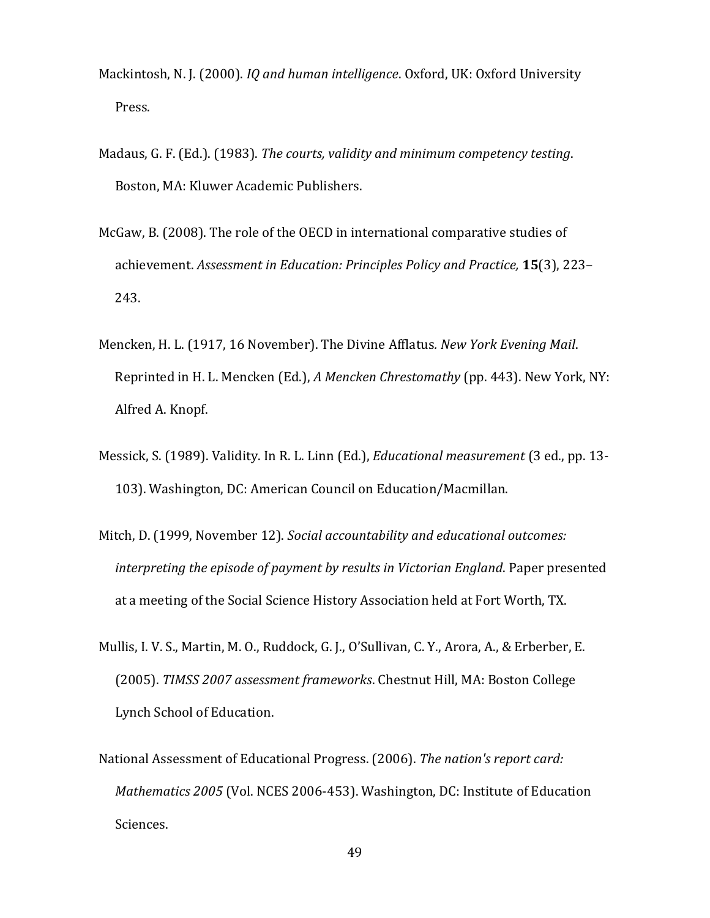- Mackintosh, N. J. (2000). *IQ and human intelligence*. Oxford, UK: Oxford University Press.
- Madaus, G. F. (Ed.). (1983). *The courts, validity and minimum competency testing*. Boston, MA: Kluwer Academic Publishers.
- McGaw, B. (2008). The role of the OECD in international comparative studies of achievement. *Assessment in Education: Principles Policy and Practice,* **15**(3), 223– 243.
- Mencken, H. L. (1917, 16 November). The Divine Afflatus*. New York Evening Mail*. Reprinted in H. L. Mencken (Ed.), *A Mencken Chrestomathy* (pp. 443). New York, NY: Alfred A. Knopf.
- Messick, S. (1989). Validity. In R. L. Linn (Ed.), *Educational measurement* (3 ed., pp. 13- 103). Washington, DC: American Council on Education/Macmillan.
- Mitch, D. (1999, November 12). *Social accountability and educational outcomes: interpreting the episode of payment by results in Victorian England*. Paper presented at a meeting of the Social Science History Association held at Fort Worth, TX.
- Mullis, I. V. S., Martin, M. O., Ruddock, G. J., O'Sullivan, C. Y., Arora, A., & Erberber, E. (2005). *TIMSS 2007 assessment frameworks*. Chestnut Hill, MA: Boston College Lynch School of Education.
- National Assessment of Educational Progress. (2006). *The nation's report card: Mathematics 2005* (Vol. NCES 2006-453). Washington, DC: Institute of Education Sciences.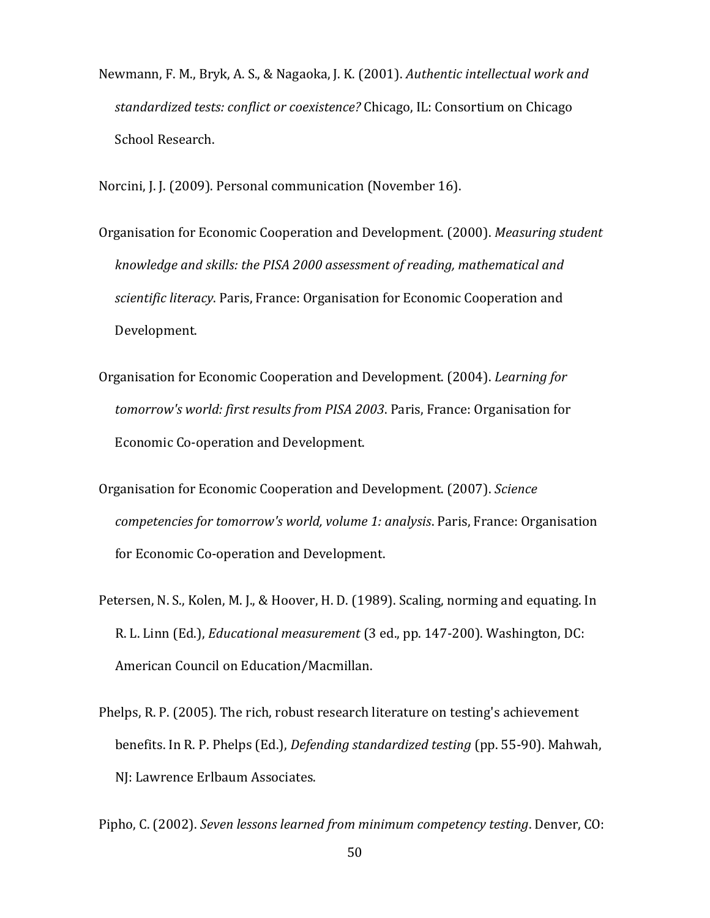Newmann, F. M., Bryk, A. S., & Nagaoka, J. K. (2001). *Authentic intellectual work and standardized tests: conflict or coexistence?* Chicago, IL: Consortium on Chicago School Research.

Norcini, J. J. (2009). Personal communication (November 16).

- Organisation for Economic Cooperation and Development. (2000). *Measuring student knowledge and skills: the PISA 2000 assessment of reading, mathematical and scientific literacy*. Paris, France: Organisation for Economic Cooperation and Development.
- Organisation for Economic Cooperation and Development. (2004). *Learning for tomorrow's world: first results from PISA 2003*. Paris, France: Organisation for Economic Co-operation and Development.
- Organisation for Economic Cooperation and Development. (2007). *Science competencies for tomorrow's world, volume 1: analysis*. Paris, France: Organisation for Economic Co-operation and Development.
- Petersen, N. S., Kolen, M. J., & Hoover, H. D. (1989). Scaling, norming and equating. In R. L. Linn (Ed.), *Educational measurement* (3 ed., pp. 147-200). Washington, DC: American Council on Education/Macmillan.
- Phelps, R. P. (2005). The rich, robust research literature on testing's achievement benefits. In R. P. Phelps (Ed.), *Defending standardized testing* (pp. 55-90). Mahwah, NJ: Lawrence Erlbaum Associates.

Pipho, C. (2002). *Seven lessons learned from minimum competency testing*. Denver, CO: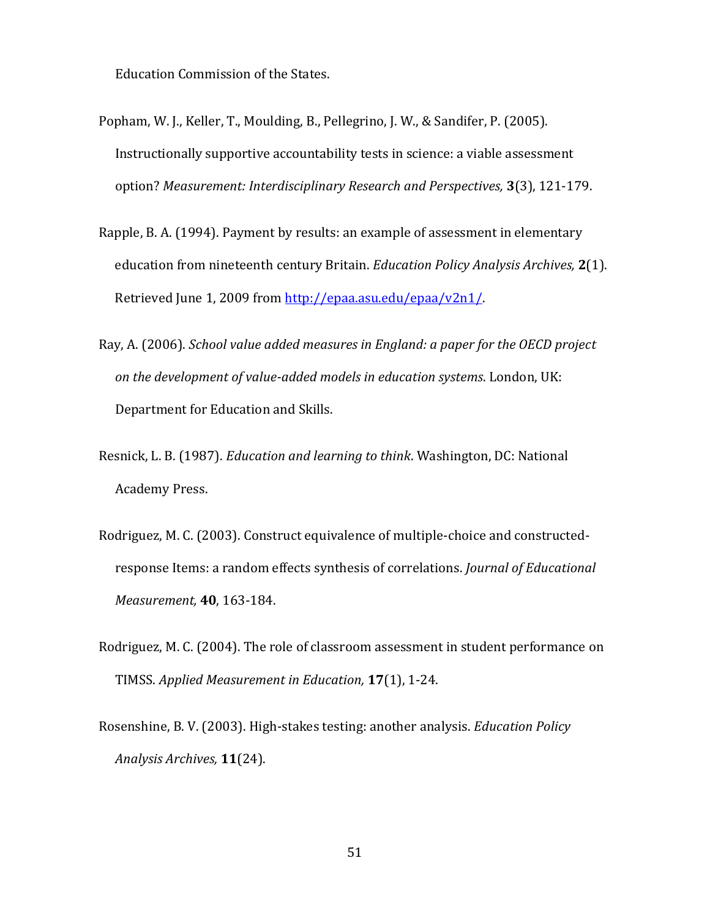Education Commission of the States.

- Popham, W. J., Keller, T., Moulding, B., Pellegrino, J. W., & Sandifer, P. (2005). Instructionally supportive accountability tests in science: a viable assessment option? *Measurement: Interdisciplinary Research and Perspectives,* **3**(3), 121-179.
- Rapple, B. A. (1994). Payment by results: an example of assessment in elementary education from nineteenth century Britain. *Education Policy Analysis Archives,* **2**(1). Retrieved June 1, 2009 from [http://epaa.asu.edu/epaa/v2n1/.](http://epaa.asu.edu/epaa/v2n1/)
- Ray, A. (2006). *School value added measures in England: a paper for the OECD project on the development of value-added models in education systems*. London, UK: Department for Education and Skills.
- Resnick, L. B. (1987). *Education and learning to think*. Washington, DC: National Academy Press.
- Rodriguez, M. C. (2003). Construct equivalence of multiple-choice and constructedresponse Items: a random effects synthesis of correlations. *Journal of Educational Measurement,* **40**, 163-184.
- Rodriguez, M. C. (2004). The role of classroom assessment in student performance on TIMSS. *Applied Measurement in Education,* **17**(1), 1-24.
- Rosenshine, B. V. (2003). High-stakes testing: another analysis. *Education Policy Analysis Archives,* **11**(24).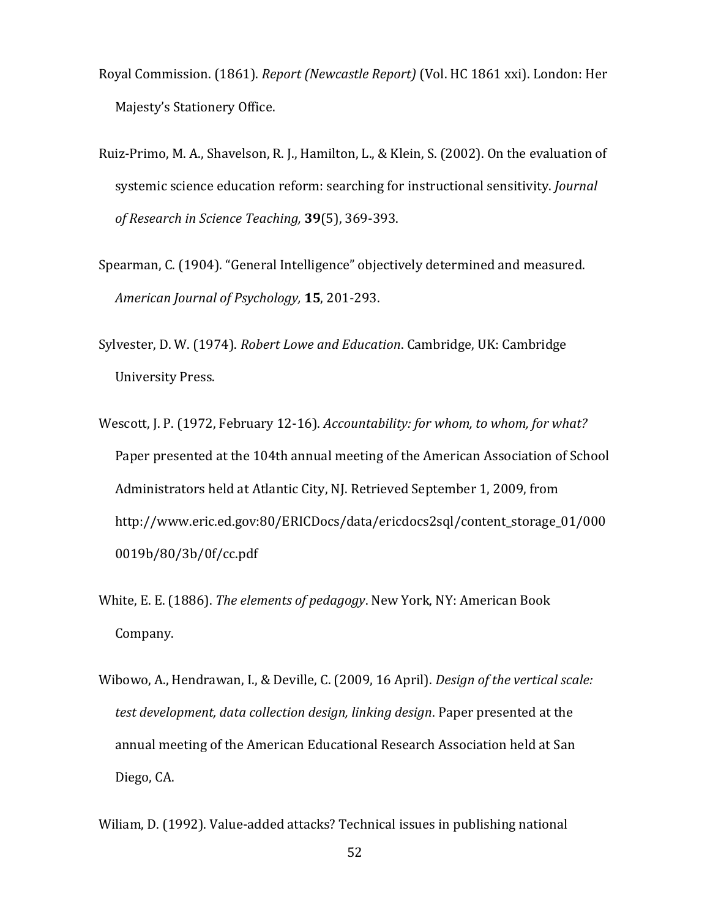- Royal Commission. (1861). *Report (Newcastle Report)* (Vol. HC 1861 xxi). London: Her Majesty's Stationery Office.
- Ruiz-Primo, M. A., Shavelson, R. J., Hamilton, L., & Klein, S. (2002). On the evaluation of systemic science education reform: searching for instructional sensitivity. *Journal of Research in Science Teaching,* **39**(5), 369-393.
- Spearman, C. (1904). "General Intelligence" objectively determined and measured. *American Journal of Psychology,* **15**, 201-293.
- Sylvester, D. W. (1974). *Robert Lowe and Education*. Cambridge, UK: Cambridge University Press.
- Wescott, J. P. (1972, February 12-16). *Accountability: for whom, to whom, for what?* Paper presented at the 104th annual meeting of the American Association of School Administrators held at Atlantic City, NJ. Retrieved September 1, 2009, from http://www.eric.ed.gov:80/ERICDocs/data/ericdocs2sql/content\_storage\_01/000 0019b/80/3b/0f/cc.pdf
- White, E. E. (1886). *The elements of pedagogy*. New York, NY: American Book Company.
- Wibowo, A., Hendrawan, I., & Deville, C. (2009, 16 April). *Design of the vertical scale: test development, data collection design, linking design*. Paper presented at the annual meeting of the American Educational Research Association held at San Diego, CA.
- Wiliam, D. (1992). Value-added attacks? Technical issues in publishing national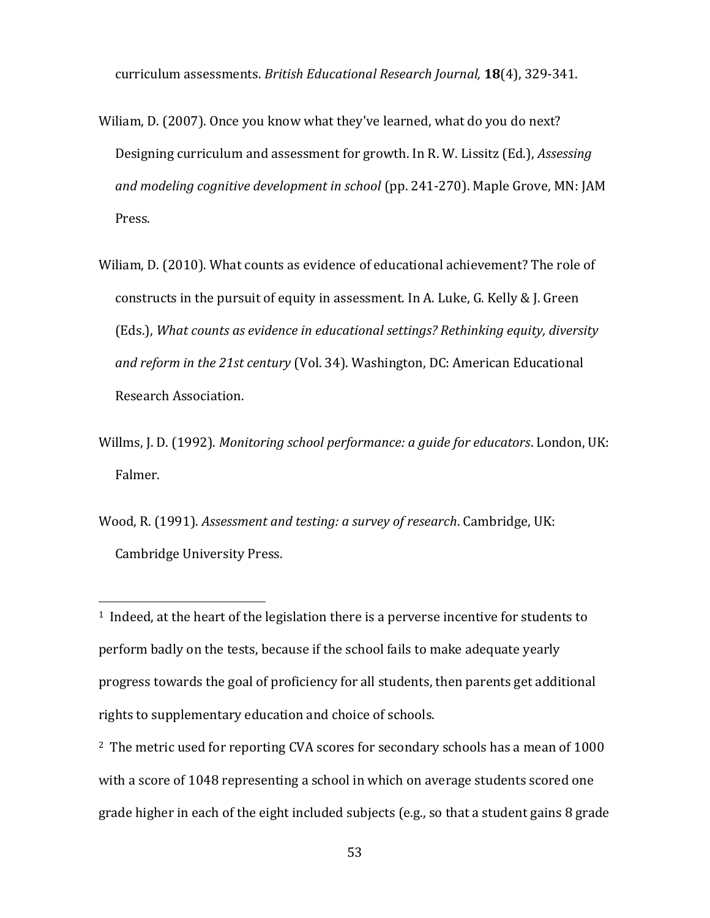curriculum assessments. *British Educational Research Journal,* **18**(4), 329-341.

- Wiliam, D. (2007). Once you know what they've learned, what do you do next? Designing curriculum and assessment for growth. In R. W. Lissitz (Ed.), *Assessing and modeling cognitive development in school* (pp. 241-270). Maple Grove, MN: JAM Press.
- Wiliam, D. (2010). What counts as evidence of educational achievement? The role of constructs in the pursuit of equity in assessment. In A. Luke, G. Kelly & J. Green (Eds.), *What counts as evidence in educational settings? Rethinking equity, diversity and reform in the 21st century* (Vol. 34). Washington, DC: American Educational Research Association.
- Willms, J. D. (1992). *Monitoring school performance: a guide for educators*. London, UK: Falmer.
- Wood, R. (1991). *Assessment and testing: a survey of research*. Cambridge, UK: Cambridge University Press.

 $\overline{a}$ 

<sup>1</sup> Indeed, at the heart of the legislation there is a perverse incentive for students to perform badly on the tests, because if the school fails to make adequate yearly progress towards the goal of proficiency for all students, then parents get additional rights to supplementary education and choice of schools.

<sup>2</sup> The metric used for reporting CVA scores for secondary schools has a mean of 1000 with a score of 1048 representing a school in which on average students scored one grade higher in each of the eight included subjects (e.g., so that a student gains 8 grade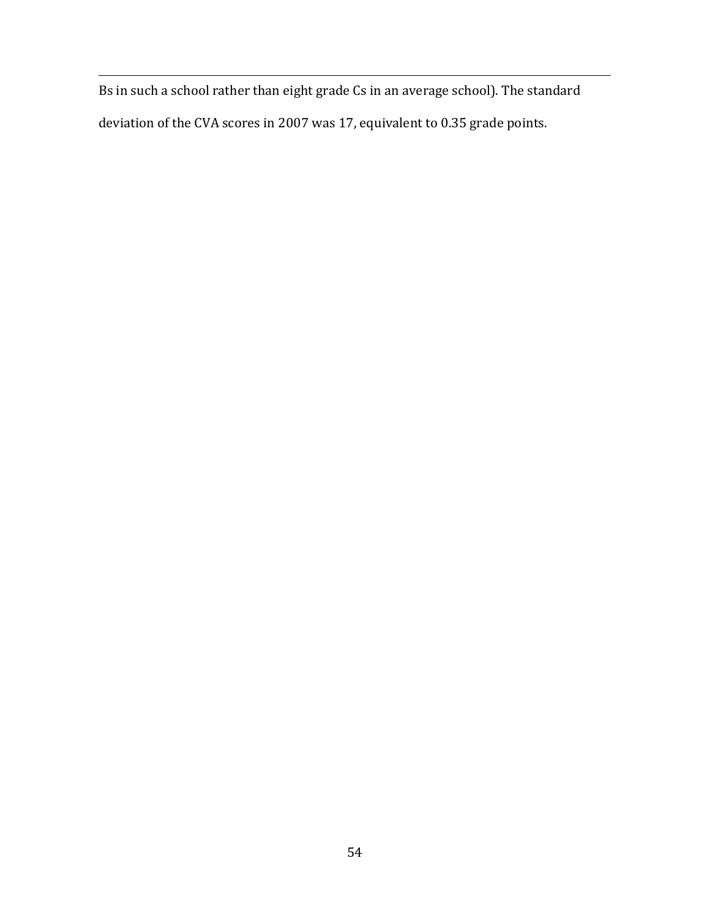Bs in such a school rather than eight grade Cs in an average school). The standard deviation of the CVA scores in 2007 was 17, equivalent to 0.35 grade points.

<u>.</u>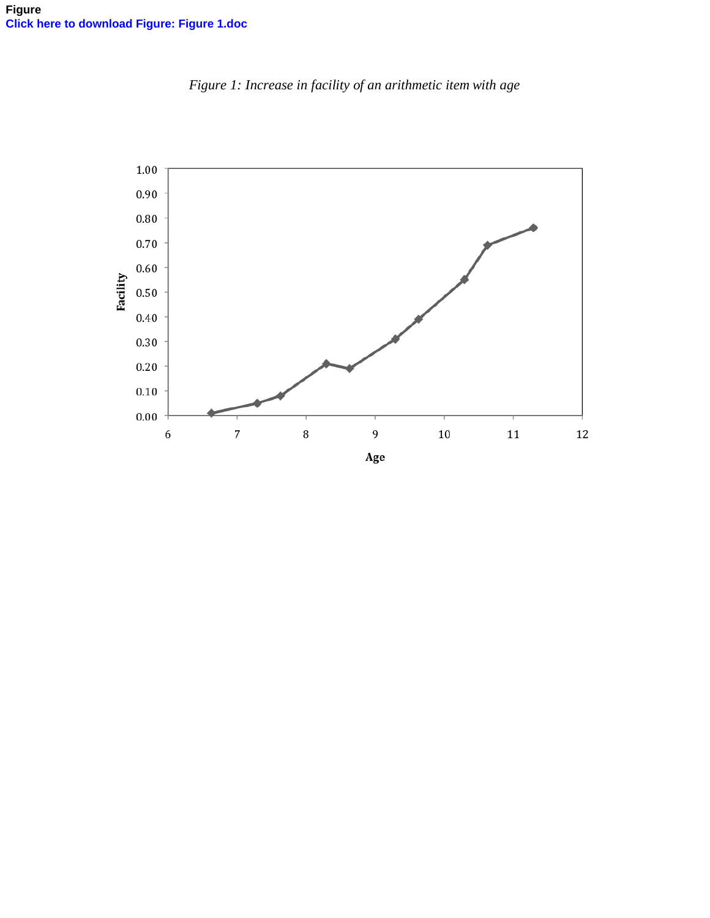

*Figure 1: Increase in facility of an arithmetic item with age*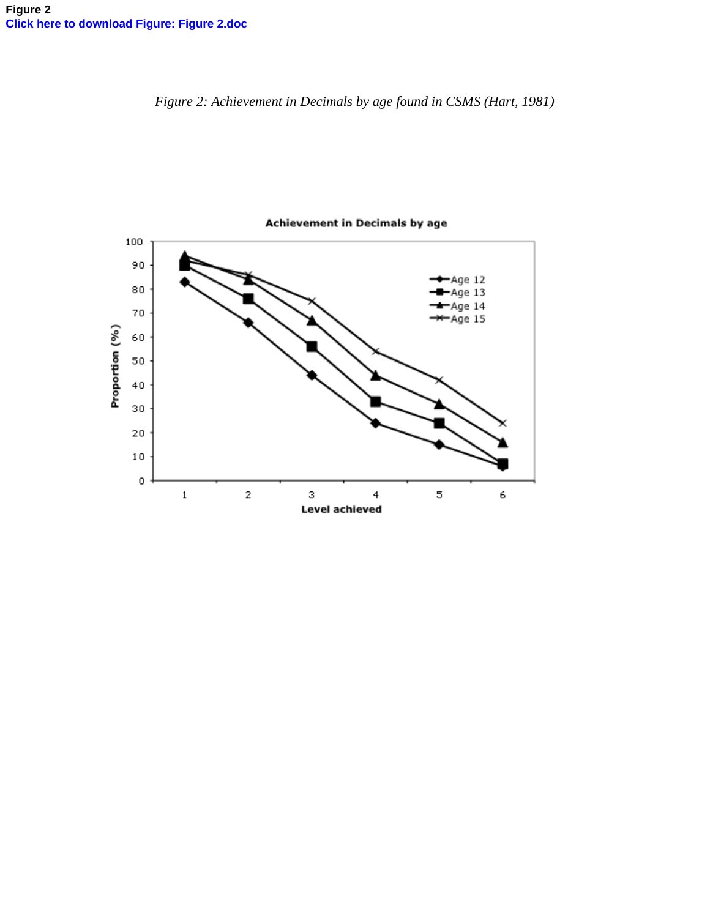*Figure 2: Achievement in Decimals by age found in CSMS (Hart, 1981)* 

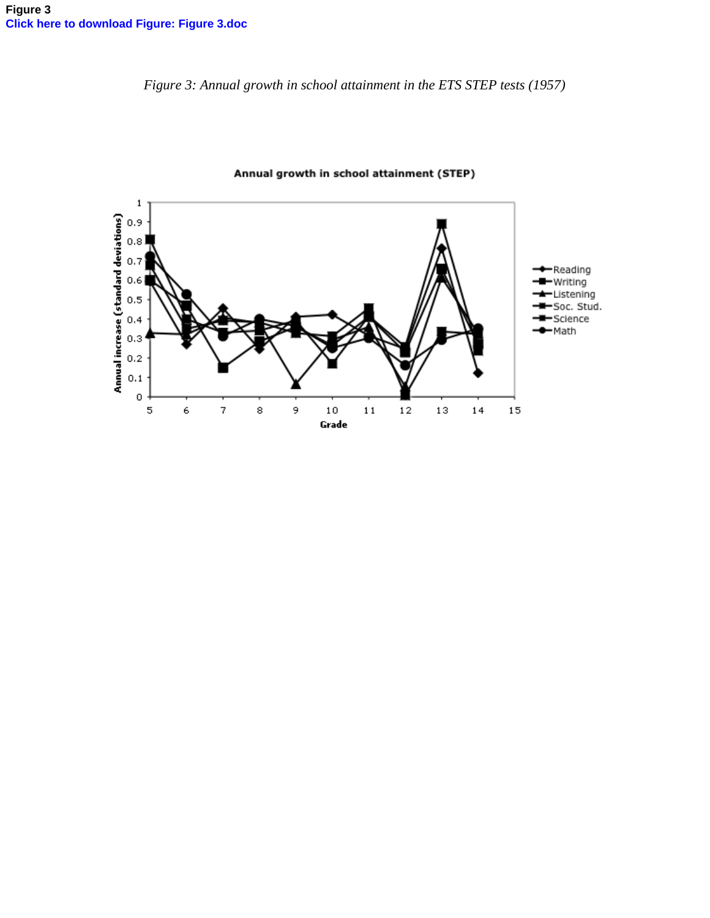*Figure 3: Annual growth in school attainment in the ETS STEP tests (1957)* 



Annual growth in school attainment (STEP)